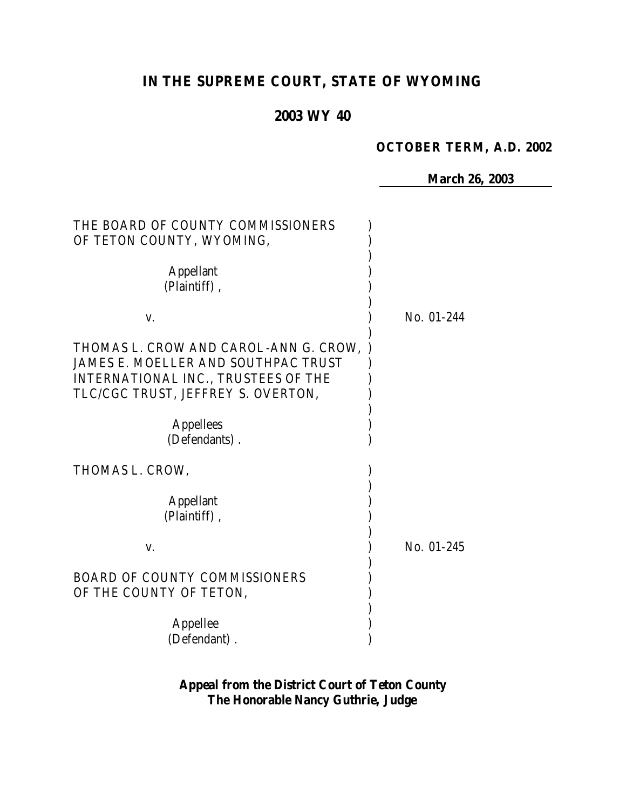# **IN THE SUPREME COURT, STATE OF WYOMING**

# **2003 WY 40**

### **OCTOBER TERM, A.D. 2002**

**March 26, 2003**

| THE BOARD OF COUNTY COMMISSIONERS<br>OF TETON COUNTY, WYOMING,                                                                                            |            |
|-----------------------------------------------------------------------------------------------------------------------------------------------------------|------------|
| <b>Appellant</b><br>(Plaintiff),                                                                                                                          |            |
| V.                                                                                                                                                        | No. 01-244 |
| THOMAS L. CROW AND CAROL-ANN G. CROW,<br>JAMES E. MOELLER AND SOUTHPAC TRUST<br>INTERNATIONAL INC., TRUSTEES OF THE<br>TLC/CGC TRUST, JEFFREY S. OVERTON, |            |
| <b>Appellees</b><br>(Defendants).                                                                                                                         |            |
| THOMAS L. CROW,                                                                                                                                           |            |
| <b>Appellant</b><br>(Plaintiff),                                                                                                                          |            |
| V.                                                                                                                                                        | No. 01-245 |
| <b>BOARD OF COUNTY COMMISSIONERS</b><br>OF THE COUNTY OF TETON,                                                                                           |            |
| Appellee<br>(Defendant).                                                                                                                                  |            |

**Appeal from the District Court of Teton County The Honorable Nancy Guthrie, Judge**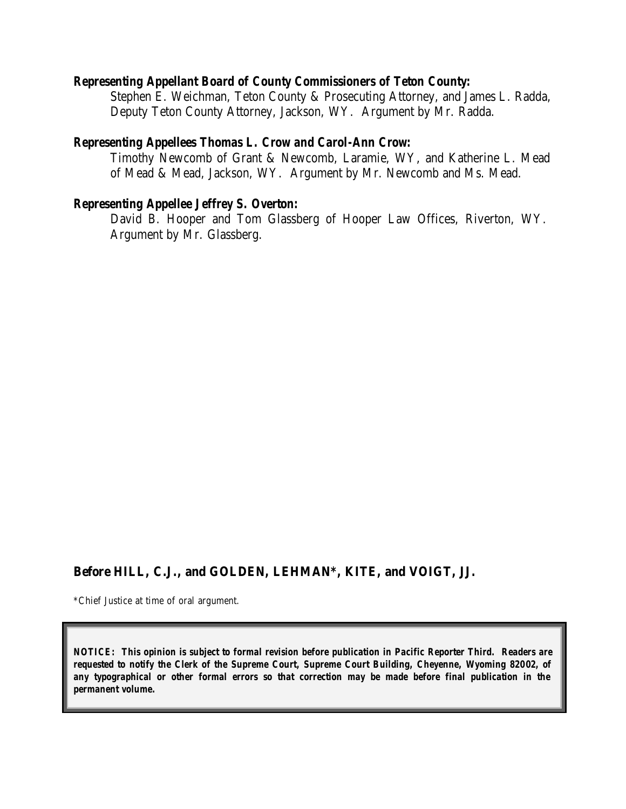#### *Representing Appellant Board of County Commissioners of Teton County:*

Stephen E. Weichman, Teton County & Prosecuting Attorney, and James L. Radda, Deputy Teton County Attorney, Jackson, WY. Argument by Mr. Radda.

#### *Representing Appellees Thomas L. Crow and Carol-Ann Crow:*

Timothy Newcomb of Grant & Newcomb, Laramie, WY, and Katherine L. Mead of Mead & Mead, Jackson, WY. Argument by Mr. Newcomb and Ms. Mead.

### *Representing Appellee Jeffrey S. Overton:*

David B. Hooper and Tom Glassberg of Hooper Law Offices, Riverton, WY. Argument by Mr. Glassberg.

# **Before HILL, C.J., and GOLDEN, LEHMAN\*, KITE, and VOIGT, JJ.**

\*Chief Justice at time of oral argument.

*NOTICE: This opinion is subject to formal revision before publication in Pacific Reporter Third. Readers are requested to notify the Clerk of the Supreme Court, Supreme Court Building, Cheyenne, Wyoming 82002, of any typographical or other formal errors so that correction may be made before final publication in the permanent volume.*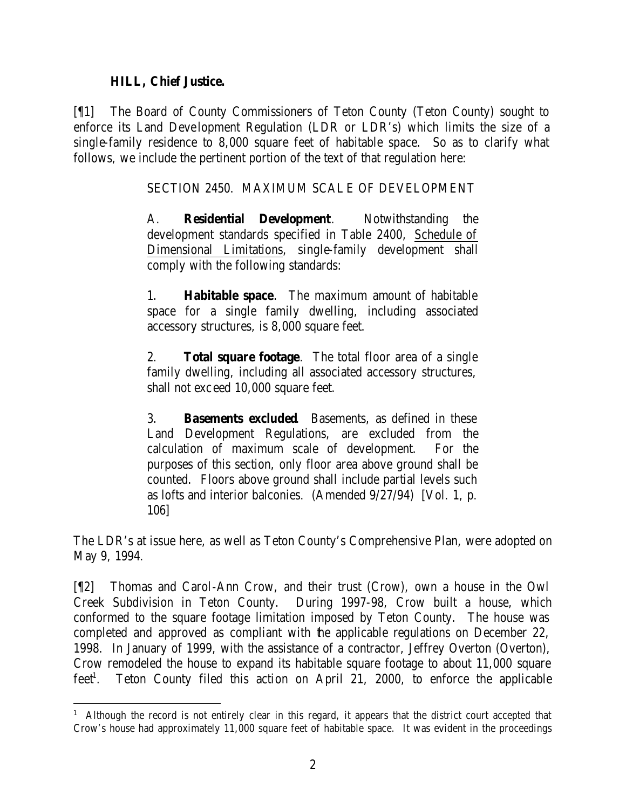### **HILL, Chief Justice.**

[¶1] The Board of County Commissioners of Teton County (Teton County) sought to enforce its Land Development Regulation (LDR or LDR's) which limits the size of a single-family residence to 8,000 square feet of habitable space. So as to clarify what follows, we include the pertinent portion of the text of that regulation here:

SECTION 2450. MAXIMUM SCALE OF DEVELOPMENT

A. **Residential Development**. Notwithstanding the development standards specified in Table 2400, Schedule of Dimensional Limitations, single-family development shall comply with the following standards:

1. **Habitable space**. The maximum amount of habitable space for a single family dwelling, including associated accessory structures, is 8,000 square feet.

2. **Total square footage**. The total floor area of a single family dwelling, including all associated accessory structures, shall not exceed 10,000 square feet.

3. **Basements excluded**. Basements, as defined in these Land Development Regulations, are excluded from the calculation of maximum scale of development. For the purposes of this section, only floor area above ground shall be counted. Floors above ground shall include partial levels such as lofts and interior balconies. (Amended 9/27/94) [Vol. 1, p. 106]

The LDR's at issue here, as well as Teton County's Comprehensive Plan, were adopted on May 9, 1994.

[¶2] Thomas and Carol-Ann Crow, and their trust (Crow), own a house in the Owl Creek Subdivision in Teton County. During 1997-98, Crow built a house, which conformed to the square footage limitation imposed by Teton County. The house was completed and approved as compliant with the applicable regulations on December 22, 1998. In January of 1999, with the assistance of a contractor, Jeffrey Overton (Overton), Crow remodeled the house to expand its habitable square footage to about 11,000 square  $feet<sup>1</sup>$ . . Teton County filed this action on April 21, 2000, to enforce the applicable

<sup>&</sup>lt;sup>1</sup> Although the record is not entirely clear in this regard, it appears that the district court accepted that Crow's house had approximately 11,000 square feet of habitable space. It was evident in the proceedings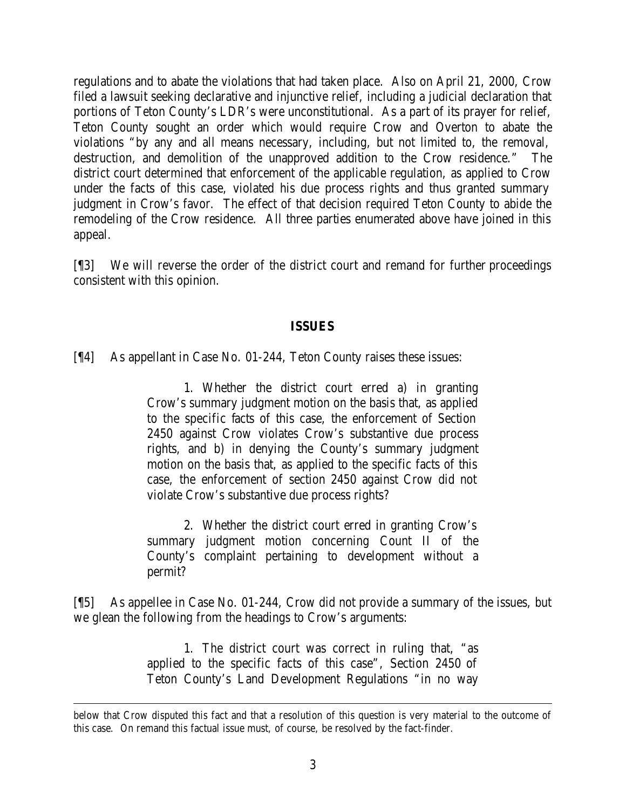regulations and to abate the violations that had taken place. Also on April 21, 2000, Crow filed a lawsuit seeking declarative and injunctive relief, including a judicial declaration that portions of Teton County's LDR's were unconstitutional. As a part of its prayer for relief, Teton County sought an order which would require Crow and Overton to abate the violations "by any and all means necessary, including, but not limited to, the removal, destruction, and demolition of the unapproved addition to the Crow residence." The district court determined that enforcement of the applicable regulation, as applied to Crow under the facts of this case, violated his due process rights and thus granted summary judgment in Crow's favor. The effect of that decision required Teton County to abide the remodeling of the Crow residence. All three parties enumerated above have joined in this appeal.

[¶3] We will reverse the order of the district court and remand for further proceedings consistent with this opinion.

#### **ISSUES**

[¶4] As appellant in Case No. 01-244, Teton County raises these issues:

1. Whether the district court erred a) in granting Crow's summary judgment motion on the basis that, as applied to the specific facts of this case, the enforcement of Section 2450 against Crow violates Crow's substantive due process rights, and b) in denying the County's summary judgment motion on the basis that, as applied to the specific facts of this case, the enforcement of section 2450 against Crow did not violate Crow's substantive due process rights?

2. Whether the district court erred in granting Crow's summary judgment motion concerning Count II of the County's complaint pertaining to development without a permit?

[¶5] As appellee in Case No. 01-244, Crow did not provide a summary of the issues, but we glean the following from the headings to Crow's arguments:

> 1. The district court was correct in ruling that, "as applied to the specific facts of this case", Section 2450 of Teton County's Land Development Regulations "in no way

below that Crow disputed this fact and that a resolution of this question is very material to the outcome of this case. On remand this factual issue must, of course, be resolved by the fact-finder.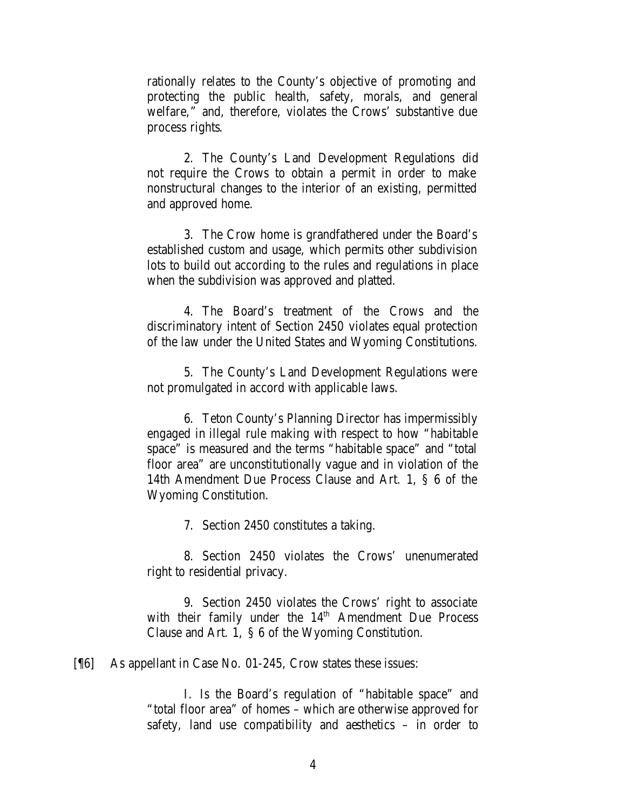rationally relates to the County's objective of promoting and protecting the public health, safety, morals, and general welfare," and, therefore, violates the Crows' substantive due process rights.

2. The County's Land Development Regulations did not require the Crows to obtain a permit in order to make nonstructural changes to the interior of an existing, permitted and approved home.

3. The Crow home is grandfathered under the Board's established custom and usage, which permits other subdivision lots to build out according to the rules and regulations in place when the subdivision was approved and platted.

4. The Board's treatment of the Crows and the discriminatory intent of Section 2450 violates equal protection of the law under the United States and Wyoming Constitutions.

5. The County's Land Development Regulations were not promulgated in accord with applicable laws.

6. Teton County's Planning Director has impermissibly engaged in illegal rule making with respect to how "habitable space" is measured and the terms "habitable space" and "total floor area" are unconstitutionally vague and in violation of the 14th Amendment Due Process Clause and Art. 1, § 6 of the Wyoming Constitution.

7. Section 2450 constitutes a taking.

8. Section 2450 violates the Crows' unenumerated right to residential privacy.

9. Section 2450 violates the Crows' right to associate with their family under the 14<sup>th</sup> Amendment Due Process Clause and Art. 1, § 6 of the Wyoming Constitution.

[¶6] As appellant in Case No. 01-245, Crow states these issues:

I. Is the Board's regulation of "habitable space" and "total floor area" of homes – which are otherwise approved for safety, land use compatibility and aesthetics – in order to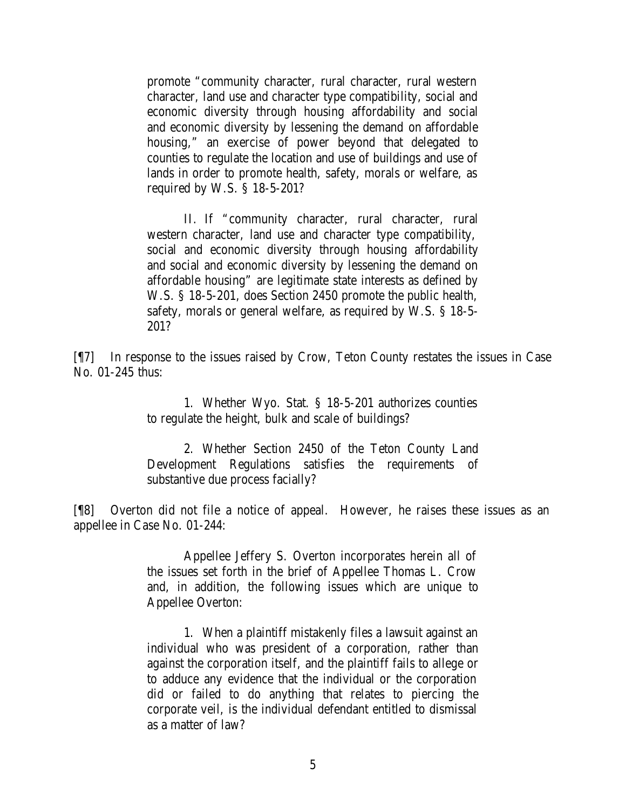promote "community character, rural character, rural western character, land use and character type compatibility, social and economic diversity through housing affordability and social and economic diversity by lessening the demand on affordable housing," an exercise of power beyond that delegated to counties to regulate the location and use of buildings and use of lands in order to promote health, safety, morals or welfare, as required by W.S. § 18-5-201?

II. If "community character, rural character, rural western character, land use and character type compatibility, social and economic diversity through housing affordability and social and economic diversity by lessening the demand on affordable housing" are legitimate state interests as defined by W.S. § 18-5-201, does Section 2450 promote the public health, safety, morals or general welfare, as required by W.S. § 18-5- 201?

[¶7] In response to the issues raised by Crow, Teton County restates the issues in Case No. 01-245 thus:

> 1. Whether Wyo. Stat. § 18-5-201 authorizes counties to regulate the height, bulk and scale of buildings?

> 2. Whether Section 2450 of the Teton County Land Development Regulations satisfies the requirements of substantive due process facially?

[¶8] Overton did not file a notice of appeal. However, he raises these issues as an appellee in Case No. 01-244:

> Appellee Jeffery S. Overton incorporates herein all of the issues set forth in the brief of Appellee Thomas L. Crow and, in addition, the following issues which are unique to Appellee Overton:

> 1. When a plaintiff mistakenly files a lawsuit against an individual who was president of a corporation, rather than against the corporation itself, and the plaintiff fails to allege or to adduce any evidence that the individual or the corporation did or failed to do anything that relates to piercing the corporate veil, is the individual defendant entitled to dismissal as a matter of law?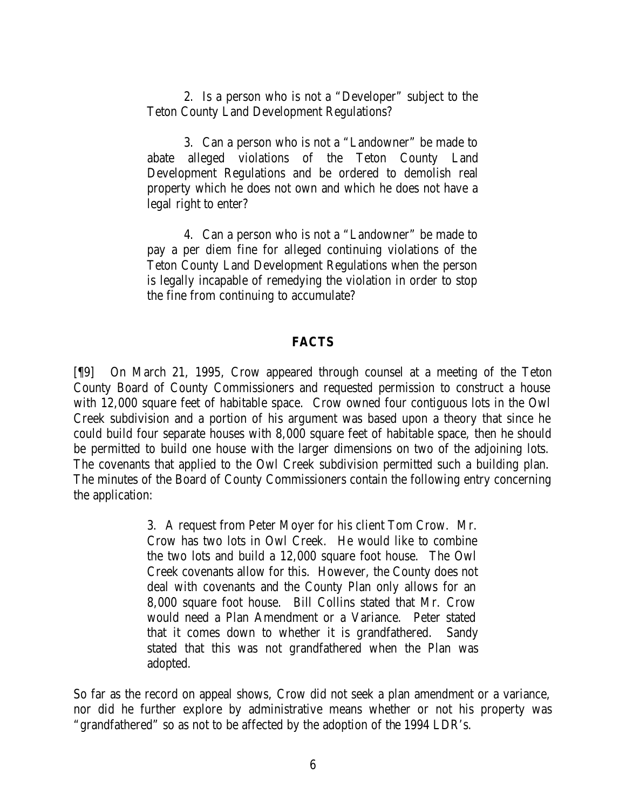2. Is a person who is not a "Developer" subject to the Teton County Land Development Regulations?

3. Can a person who is not a "Landowner" be made to abate alleged violations of the Teton County Land Development Regulations and be ordered to demolish real property which he does not own and which he does not have a legal right to enter?

4. Can a person who is not a "Landowner" be made to pay a per diem fine for alleged continuing violations of the Teton County Land Development Regulations when the person is legally incapable of remedying the violation in order to stop the fine from continuing to accumulate?

#### **FACTS**

[¶9] On March 21, 1995, Crow appeared through counsel at a meeting of the Teton County Board of County Commissioners and requested permission to construct a house with 12,000 square feet of habitable space. Crow owned four contiguous lots in the Owl Creek subdivision and a portion of his argument was based upon a theory that since he could build four separate houses with 8,000 square feet of habitable space, then he should be permitted to build one house with the larger dimensions on two of the adjoining lots. The covenants that applied to the Owl Creek subdivision permitted such a building plan. The minutes of the Board of County Commissioners contain the following entry concerning the application:

> 3. A request from Peter Moyer for his client Tom Crow. Mr. Crow has two lots in Owl Creek. He would like to combine the two lots and build a 12,000 square foot house. The Owl Creek covenants allow for this. However, the County does not deal with covenants and the County Plan only allows for an 8,000 square foot house. Bill Collins stated that Mr. Crow would need a Plan Amendment or a Variance. Peter stated that it comes down to whether it is grandfathered. Sandy stated that this was not grandfathered when the Plan was adopted.

So far as the record on appeal shows, Crow did not seek a plan amendment or a variance, nor did he further explore by administrative means whether or not his property was "grandfathered" so as not to be affected by the adoption of the 1994 LDR's.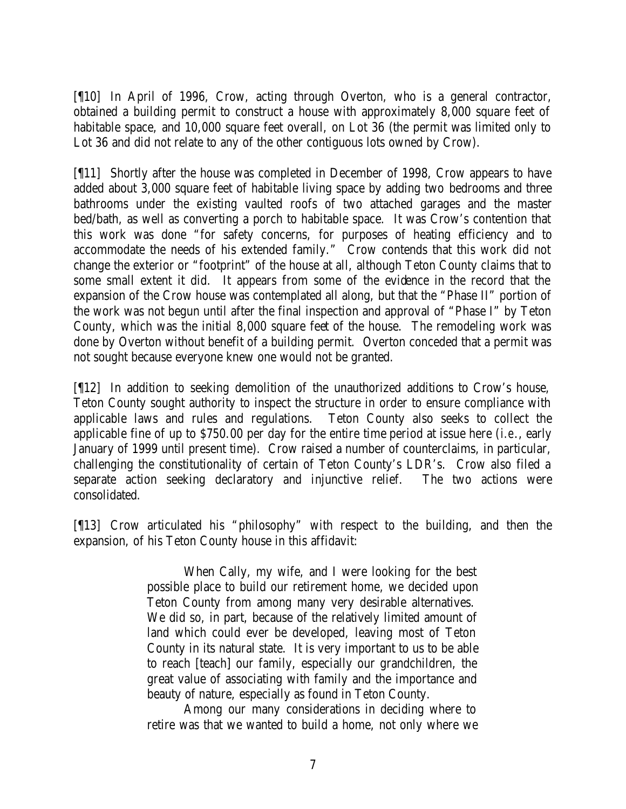[¶10] In April of 1996, Crow, acting through Overton, who is a general contractor, obtained a building permit to construct a house with approximately 8,000 square feet of habitable space, and 10,000 square feet overall, on Lot 36 (the permit was limited only to Lot 36 and did not relate to any of the other contiguous lots owned by Crow).

[¶11] Shortly after the house was completed in December of 1998, Crow appears to have added about 3,000 square feet of habitable living space by adding two bedrooms and three bathrooms under the existing vaulted roofs of two attached garages and the master bed/bath, as well as converting a porch to habitable space. It was Crow's contention that this work was done "for safety concerns, for purposes of heating efficiency and to accommodate the needs of his extended family." Crow contends that this work did not change the exterior or "footprint" of the house at all, although Teton County claims that to some small extent it did. It appears from some of the evidence in the record that the expansion of the Crow house was contemplated all along, but that the "Phase II" portion of the work was not begun until after the final inspection and approval of "Phase I" by Teton County, which was the initial 8,000 square feet of the house. The remodeling work was done by Overton without benefit of a building permit. Overton conceded that a permit was not sought because everyone knew one would not be granted.

[¶12] In addition to seeking demolition of the unauthorized additions to Crow's house, Teton County sought authority to inspect the structure in order to ensure compliance with applicable laws and rules and regulations. Teton County also seeks to collect the applicable fine of up to \$750.00 per day for the entire time period at issue here (*i.e*., early January of 1999 until present time). Crow raised a number of counterclaims, in particular, challenging the constitutionality of certain of Teton County's LDR's. Crow also filed a separate action seeking declaratory and injunctive relief. The two actions were consolidated.

[¶13] Crow articulated his "philosophy" with respect to the building, and then the expansion, of his Teton County house in this affidavit:

> When Cally, my wife, and I were looking for the best possible place to build our retirement home, we decided upon Teton County from among many very desirable alternatives. We did so, in part, because of the relatively limited amount of land which could ever be developed, leaving most of Teton County in its natural state. It is very important to us to be able to reach [teach] our family, especially our grandchildren, the great value of associating with family and the importance and beauty of nature, especially as found in Teton County.

> Among our many considerations in deciding where to retire was that we wanted to build a home, not only where we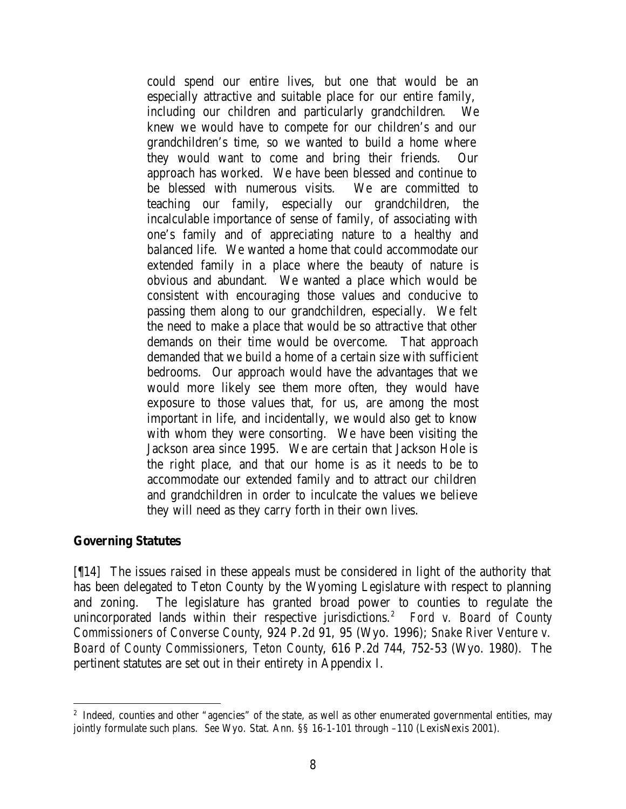could spend our entire lives, but one that would be an especially attractive and suitable place for our entire family, including our children and particularly grandchildren. We knew we would have to compete for our children's and our grandchildren's time, so we wanted to build a home where they would want to come and bring their friends. Our approach has worked. We have been blessed and continue to be blessed with numerous visits. We are committed to teaching our family, especially our grandchildren, the incalculable importance of sense of family, of associating with one's family and of appreciating nature to a healthy and balanced life. We wanted a home that could accommodate our extended family in a place where the beauty of nature is obvious and abundant. We wanted a place which would be consistent with encouraging those values and conducive to passing them along to our grandchildren, especially. We felt the need to make a place that would be so attractive that other demands on their time would be overcome. That approach demanded that we build a home of a certain size with sufficient bedrooms. Our approach would have the advantages that we would more likely see them more often, they would have exposure to those values that, for us, are among the most important in life, and incidentally, we would also get to know with whom they were consorting. We have been visiting the Jackson area since 1995. We are certain that Jackson Hole is the right place, and that our home is as it needs to be to accommodate our extended family and to attract our children and grandchildren in order to inculcate the values we believe they will need as they carry forth in their own lives.

#### **Governing Statutes**

[¶14] The issues raised in these appeals must be considered in light of the authority that has been delegated to Teton County by the Wyoming Legislature with respect to planning and zoning. The legislature has granted broad power to counties to regulate the unincorporated lands within their respective jurisdictions.<sup>2</sup> *Ford v. Board of County Commissioners of Converse County*, 924 P.2d 91, 95 (Wyo. 1996); *Snake River Venture v. Board of County Commissioners, Teton County*, 616 P.2d 744, 752-53 (Wyo. 1980). The pertinent statutes are set out in their entirety in Appendix I.

<sup>&</sup>lt;sup>2</sup> Indeed, counties and other "agencies" of the state, as well as other enumerated governmental entities, may jointly formulate such plans. *See* Wyo. Stat. Ann. §§ 16-1-101 through –110 (LexisNexis 2001).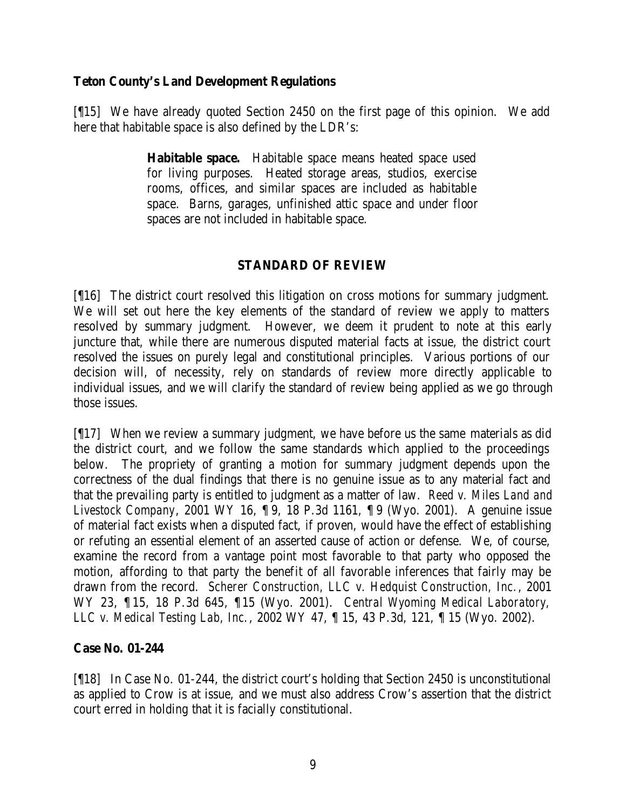### **Teton County's Land Development Regulations**

[¶15] We have already quoted Section 2450 on the first page of this opinion. We add here that habitable space is also defined by the LDR's:

> **Habitable space.** Habitable space means heated space used for living purposes. Heated storage areas, studios, exercise rooms, offices, and similar spaces are included as habitable space. Barns, garages, unfinished attic space and under floor spaces are not included in habitable space.

# **STANDARD OF REVIEW**

[¶16] The district court resolved this litigation on cross motions for summary judgment. We will set out here the key elements of the standard of review we apply to matters resolved by summary judgment. However, we deem it prudent to note at this early juncture that, while there are numerous disputed material facts at issue, the district court resolved the issues on purely legal and constitutional principles. Various portions of our decision will, of necessity, rely on standards of review more directly applicable to individual issues, and we will clarify the standard of review being applied as we go through those issues.

[¶17] When we review a summary judgment, we have before us the same materials as did the district court, and we follow the same standards which applied to the proceedings below. The propriety of granting a motion for summary judgment depends upon the correctness of the dual findings that there is no genuine issue as to any material fact and that the prevailing party is entitled to judgment as a matter of law. *Reed v. Miles Land and Livestock Company*, 2001 WY 16, ¶ 9, 18 P.3d 1161, ¶ 9 (Wyo. 2001). A genuine issue of material fact exists when a disputed fact, if proven, would have the effect of establishing or refuting an essential element of an asserted cause of action or defense. We, of course, examine the record from a vantage point most favorable to that party who opposed the motion, affording to that party the benefit of all favorable inferences that fairly may be drawn from the record. *Scherer Construction, LLC v. Hedquist Construction, Inc.*, 2001 WY 23, ¶ 15, 18 P.3d 645, ¶15 (Wyo. 2001). *Central Wyoming Medical Laboratory, LLC v. Medical Testing Lab, Inc.*, 2002 WY 47, ¶ 15, 43 P.3d, 121, ¶ 15 (Wyo. 2002).

### **Case No. 01-244**

[¶18] In Case No. 01-244, the district court's holding that Section 2450 is unconstitutional as applied to Crow is at issue, and we must also address Crow's assertion that the district court erred in holding that it is facially constitutional.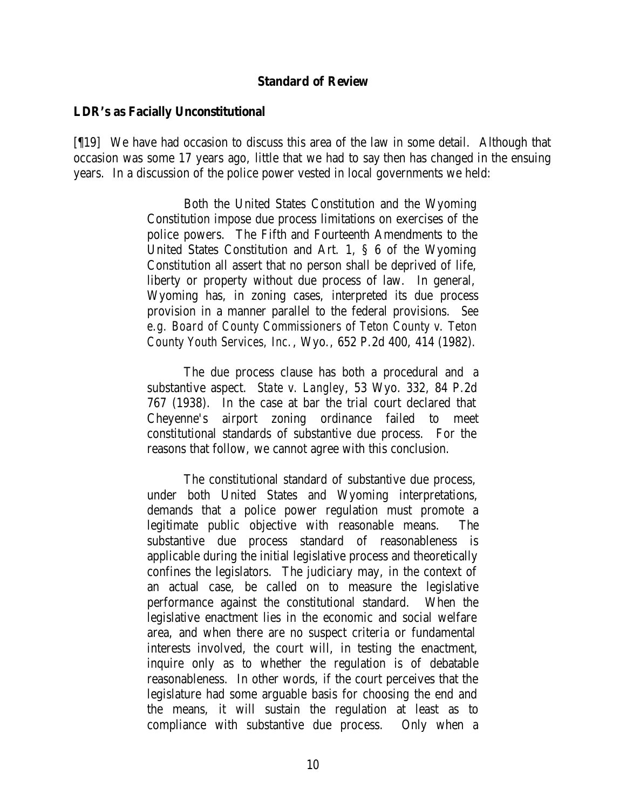#### **Standard of Review**

#### **LDR's as Facially Unconstitutional**

[¶19] We have had occasion to discuss this area of the law in some detail. Although that occasion was some 17 years ago, little that we had to say then has changed in the ensuing years. In a discussion of the police power vested in local governments we held:

> Both the United States Constitution and the Wyoming Constitution impose due process limitations on exercises of the police powers. The Fifth and Fourteenth Amendments to the United States Constitution and Art. 1, § 6 of the Wyoming Constitution all assert that no person shall be deprived of life, liberty or property without due process of law. In general, Wyoming has, in zoning cases, interpreted its due process provision in a manner parallel to the federal provisions. *See e.g. Board of County Commissioners of Teton County v. Teton County Youth Services, Inc.*, Wyo., 652 P.2d 400, 414 (1982).

> The due process clause has both a procedural and a substantive aspect. *State v. Langley*, 53 Wyo. 332, 84 P.2d 767 (1938). In the case at bar the trial court declared that Cheyenne's airport zoning ordinance failed to meet constitutional standards of substantive due process. For the reasons that follow, we cannot agree with this conclusion.

> The constitutional standard of substantive due process, under both United States and Wyoming interpretations, demands that a police power regulation must promote a legitimate public objective with reasonable means. The substantive due process standard of reasonableness is applicable during the initial legislative process and theoretically confines the legislators. The judiciary may, in the context of an actual case, be called on to measure the legislative performance against the constitutional standard. When the legislative enactment lies in the economic and social welfare area, and when there are no suspect criteria or fundamental interests involved, the court will, in testing the enactment, inquire only as to whether the regulation is of debatable reasonableness. In other words, if the court perceives that the legislature had some arguable basis for choosing the end and the means, it will sustain the regulation at least as to compliance with substantive due process. Only when a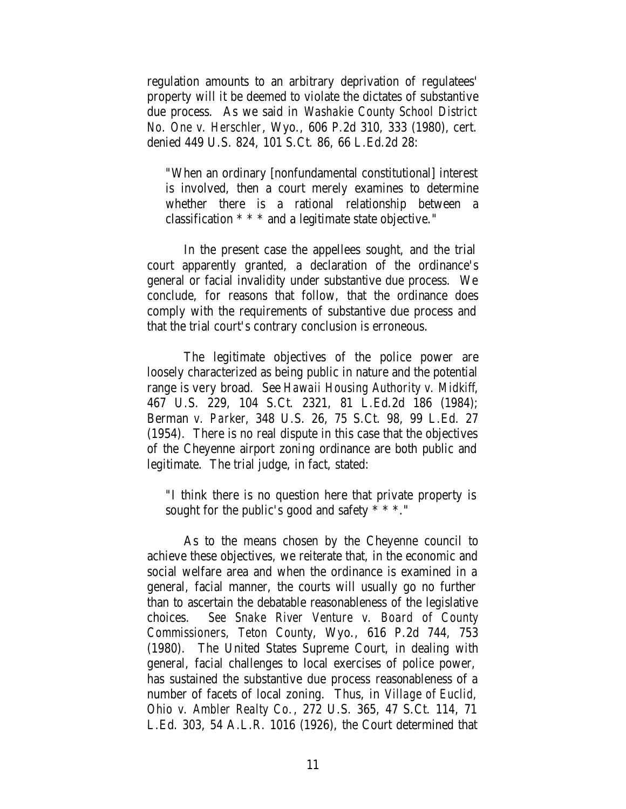regulation amounts to an arbitrary deprivation of regulatees' property will it be deemed to violate the dictates of substantive due process. As we said in *Washakie County School District No. One v. Herschler*, Wyo., 606 P.2d 310, 333 (1980), cert. denied 449 U.S. 824, 101 S.Ct. 86, 66 L.Ed.2d 28:

"When an ordinary [nonfundamental constitutional] interest is involved, then a court merely examines to determine whether there is a rational relationship between a classification \* \* \* and a legitimate state objective."

In the present case the appellees sought, and the trial court apparently granted, a declaration of the ordinance's general or facial invalidity under substantive due process. We conclude, for reasons that follow, that the ordinance does comply with the requirements of substantive due process and that the trial court's contrary conclusion is erroneous.

The legitimate objectives of the police power are loosely characterized as being public in nature and the potential range is very broad. See *Hawaii Housing Authority v. Midkiff*, 467 U.S. 229, 104 S.Ct. 2321, 81 L.Ed.2d 186 (1984); Berman *v. Parker*, 348 U.S. 26, 75 S.Ct. 98, 99 L.Ed. 27 (1954). There is no real dispute in this case that the objectives of the Cheyenne airport zoning ordinance are both public and legitimate. The trial judge, in fact, stated:

"I think there is no question here that private property is sought for the public's good and safety \* \* \*."

As to the means chosen by the Cheyenne council to achieve these objectives, we reiterate that, in the economic and social welfare area and when the ordinance is examined in a general, facial manner, the courts will usually go no further than to ascertain the debatable reasonableness of the legislative choices. *See Snake River Venture v. Board of County Commissioners, Teton County*, Wyo., 616 P.2d 744, 753 (1980). The United States Supreme Court, in dealing with general, facial challenges to local exercises of police power, has sustained the substantive due process reasonableness of a number of facets of local zoning. Thus, in *Village of Euclid, Ohio v. Ambler Realty Co.*, 272 U.S. 365, 47 S.Ct. 114, 71 L.Ed. 303, 54 A.L.R. 1016 (1926), the Court determined that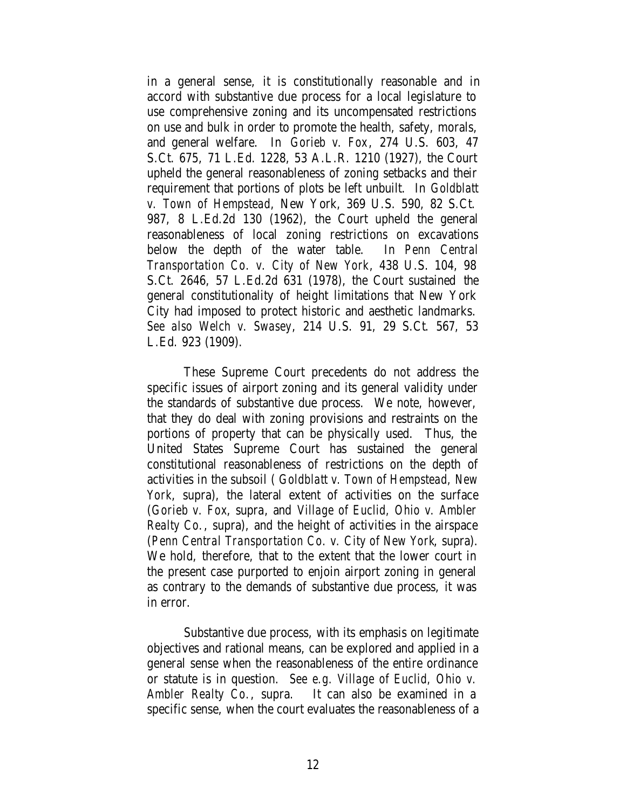in a general sense, it is constitutionally reasonable and in accord with substantive due process for a local legislature to use comprehensive zoning and its uncompensated restrictions on use and bulk in order to promote the health, safety, morals, and general welfare. In *Gorieb v. Fox*, 274 U.S. 603, 47 S.Ct. 675, 71 L.Ed. 1228, 53 A.L.R. 1210 (1927), the Court upheld the general reasonableness of zoning setbacks and their requirement that portions of plots be left unbuilt. In *Goldblatt v. Town of Hempstead*, New York, 369 U.S. 590, 82 S.Ct. 987, 8 L.Ed.2d 130 (1962), the Court upheld the general reasonableness of local zoning restrictions on excavations below the depth of the water table. In *Penn Central Transportation Co. v. City of New York*, 438 U.S. 104, 98 S.Ct. 2646, 57 L.Ed.2d 631 (1978), the Court sustained the general constitutionality of height limitations that New York City had imposed to protect historic and aesthetic landmarks. *See also Welch v. Swasey*, 214 U.S. 91, 29 S.Ct. 567, 53 L.Ed. 923 (1909).

These Supreme Court precedents do not address the specific issues of airport zoning and its general validity under the standards of substantive due process. We note, however, that they do deal with zoning provisions and restraints on the portions of property that can be physically used. Thus, the United States Supreme Court has sustained the general constitutional reasonableness of restrictions on the depth of activities in the subsoil ( *Goldblatt v. Town of Hempstead, New York*, supra), the lateral extent of activities on the surface (*Gorieb v. Fox*, supra, and *Village of Euclid, Ohio v. Ambler Realty Co.*, supra), and the height of activities in the airspace (*Penn Central Transportation Co. v. City of New York*, supra). We hold, therefore, that to the extent that the lower court in the present case purported to enjoin airport zoning in general as contrary to the demands of substantive due process, it was in error.

Substantive due process, with its emphasis on legitimate objectives and rational means, can be explored and applied in a general sense when the reasonableness of the entire ordinance or statute is in question. *See e.g. Village of Euclid, Ohio v. Ambler Realty Co.*, supra. It can also be examined in a specific sense, when the court evaluates the reasonableness of a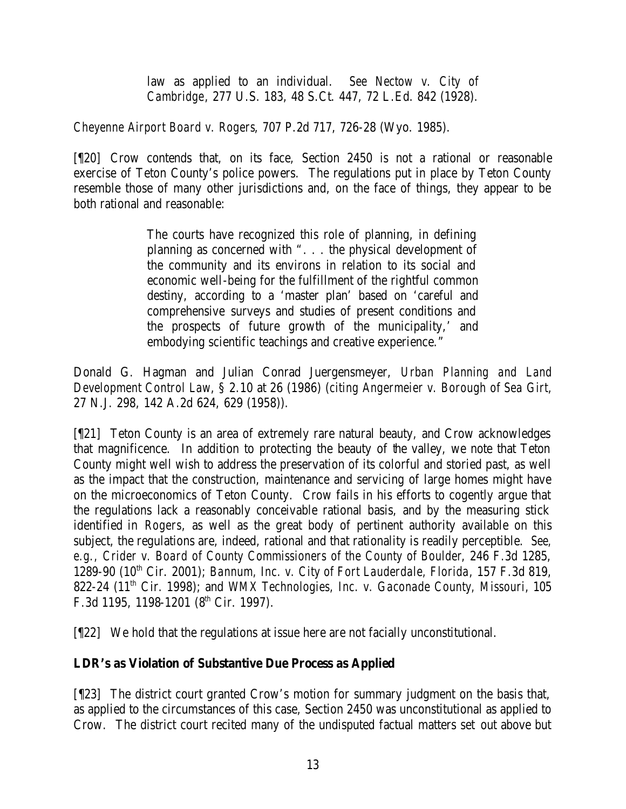law as applied to an individual. *See Nectow v. City of Cambridge*, 277 U.S. 183, 48 S.Ct. 447, 72 L.Ed. 842 (1928).

*Cheyenne Airport Board v. Rogers*, 707 P.2d 717, 726-28 (Wyo. 1985).

[¶20] Crow contends that, on its face, Section 2450 is not a rational or reasonable exercise of Teton County's police powers. The regulations put in place by Teton County resemble those of many other jurisdictions and, on the face of things, they appear to be both rational and reasonable:

> The courts have recognized this role of planning, in defining planning as concerned with ". . . the physical development of the community and its environs in relation to its social and economic well-being for the fulfillment of the rightful common destiny, according to a 'master plan' based on 'careful and comprehensive surveys and studies of present conditions and the prospects of future growth of the municipality,' and embodying scientific teachings and creative experience."

Donald G. Hagman and Julian Conrad Juergensmeyer, *Urban Planning and Land Development Control Law*, § 2.10 at 26 (1986) (*citing Angermeier v. Borough of Sea Girt*, 27 N.J. 298, 142 A.2d 624, 629 (1958)).

[¶21] Teton County is an area of extremely rare natural beauty, and Crow acknowledges that magnificence. In addition to protecting the beauty of the valley, we note that Teton County might well wish to address the preservation of its colorful and storied past, as well as the impact that the construction, maintenance and servicing of large homes might have on the microeconomics of Teton County. Crow fails in his efforts to cogently argue that the regulations lack a reasonably conceivable rational basis, and by the measuring stick identified in *Rogers*, as well as the great body of pertinent authority available on this subject, the regulations are, indeed, rational and that rationality is readily perceptible. *See, e.g., Crider v. Board of County Commissioners of the County of Boulder*, 246 F.3d 1285, 1289-90 (10<sup>th</sup> Cir. 2001); *Bannum, Inc. v. City of Fort Lauderdale, Florida*, 157 F.3d 819, 822-24 (11th Cir. 1998); and *WMX Technologies, Inc. v. Gaconade County, Missouri*, 105 F.3d 1195, 1198-1201 ( $8<sup>th</sup>$  Cir. 1997).

[¶22] We hold that the regulations at issue here are not facially unconstitutional.

# **LDR's as Violation of Substantive Due Process as Applied**

[¶23] The district court granted Crow's motion for summary judgment on the basis that, as applied to the circumstances of this case, Section 2450 was unconstitutional as applied to Crow. The district court recited many of the undisputed factual matters set out above but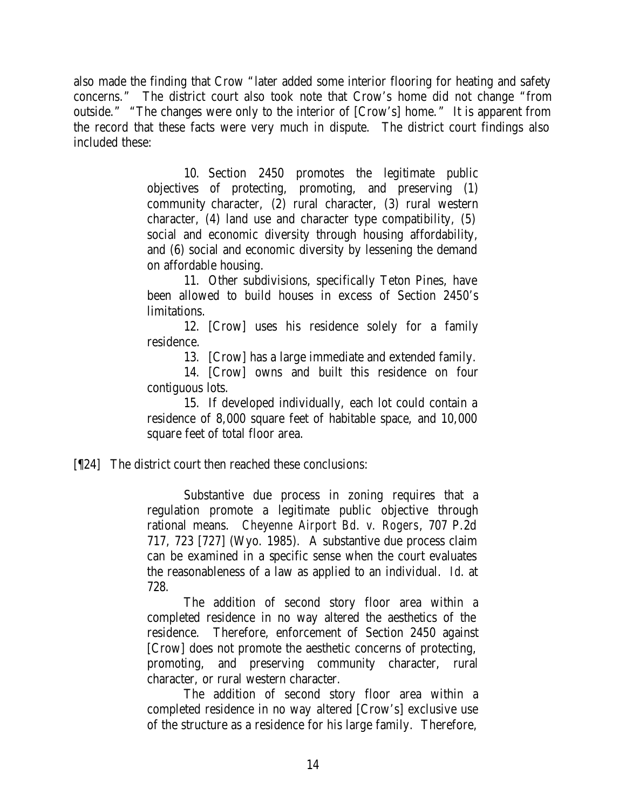also made the finding that Crow "later added some interior flooring for heating and safety concerns." The district court also took note that Crow's home did not change "from outside." "The changes were only to the interior of [Crow's] home." It is apparent from the record that these facts were very much in dispute. The district court findings also included these:

> 10. Section 2450 promotes the legitimate public objectives of protecting, promoting, and preserving (1) community character, (2) rural character, (3) rural western character, (4) land use and character type compatibility, (5) social and economic diversity through housing affordability, and (6) social and economic diversity by lessening the demand on affordable housing.

> 11. Other subdivisions, specifically Teton Pines, have been allowed to build houses in excess of Section 2450's limitations.

> 12. [Crow] uses his residence solely for a family residence.

13. [Crow] has a large immediate and extended family.

14. [Crow] owns and built this residence on four contiguous lots.

15. If developed individually, each lot could contain a residence of 8,000 square feet of habitable space, and 10,000 square feet of total floor area.

[¶24] The district court then reached these conclusions:

Substantive due process in zoning requires that a regulation promote a legitimate public objective through rational means. *Cheyenne Airport Bd. v. Rogers*, 707 P.2d 717, 723 [727] (Wyo. 1985). A substantive due process claim can be examined in a specific sense when the court evaluates the reasonableness of a law as applied to an individual. *Id*. at 728.

The addition of second story floor area within a completed residence in no way altered the aesthetics of the residence. Therefore, enforcement of Section 2450 against [Crow] does not promote the aesthetic concerns of protecting, promoting, and preserving community character, rural character, or rural western character.

The addition of second story floor area within a completed residence in no way altered [Crow's] exclusive use of the structure as a residence for his large family. Therefore,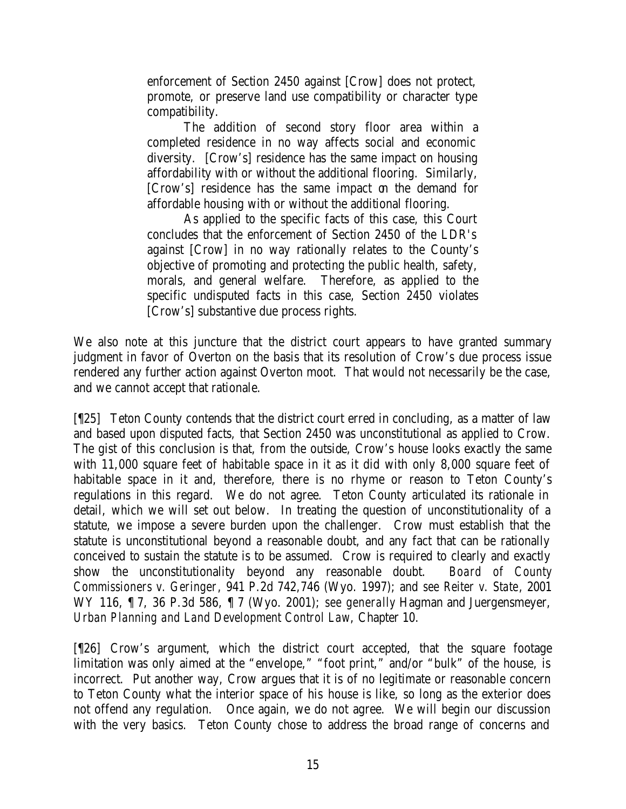enforcement of Section 2450 against [Crow] does not protect, promote, or preserve land use compatibility or character type compatibility.

The addition of second story floor area within a completed residence in no way affects social and economic diversity. [Crow's] residence has the same impact on housing affordability with or without the additional flooring. Similarly, [Crow's] residence has the same impact on the demand for affordable housing with or without the additional flooring.

As applied to the specific facts of this case, this Court concludes that the enforcement of Section 2450 of the LDR's against [Crow] in no way rationally relates to the County's objective of promoting and protecting the public health, safety, morals, and general welfare. Therefore, as applied to the specific undisputed facts in this case, Section 2450 violates [Crow's] substantive due process rights.

We also note at this juncture that the district court appears to have granted summary judgment in favor of Overton on the basis that its resolution of Crow's due process issue rendered any further action against Overton moot. That would not necessarily be the case, and we cannot accept that rationale.

[¶25] Teton County contends that the district court erred in concluding, as a matter of law and based upon disputed facts, that Section 2450 was unconstitutional as applied to Crow. The gist of this conclusion is that, from the outside, Crow's house looks exactly the same with 11,000 square feet of habitable space in it as it did with only 8,000 square feet of habitable space in it and, therefore, there is no rhyme or reason to Teton County's regulations in this regard. We do not agree. Teton County articulated its rationale in detail, which we will set out below. In treating the question of unconstitutionality of a statute, we impose a severe burden upon the challenger. Crow must establish that the statute is unconstitutional beyond a reasonable doubt, and any fact that can be rationally conceived to sustain the statute is to be assumed. Crow is required to clearly and exactly show the unconstitutionality beyond any reasonable doubt. *Board of County Commissioners v. Geringer*, 941 P.2d 742,746 (Wyo. 1997); and *see Reiter v. State*, 2001 WY 116, ¶ 7, 36 P.3d 586, ¶ 7 (Wyo. 2001); *see generally* Hagman and Juergensmeyer, *Urban Planning and Land Development Control Law*, Chapter 10.

[¶26] Crow's argument, which the district court accepted, that the square footage limitation was only aimed at the "envelope," "foot print," and/or "bulk" of the house, is incorrect. Put another way, Crow argues that it is of no legitimate or reasonable concern to Teton County what the interior space of his house is like, so long as the exterior does not offend any regulation. Once again, we do not agree. We will begin our discussion with the very basics. Teton County chose to address the broad range of concerns and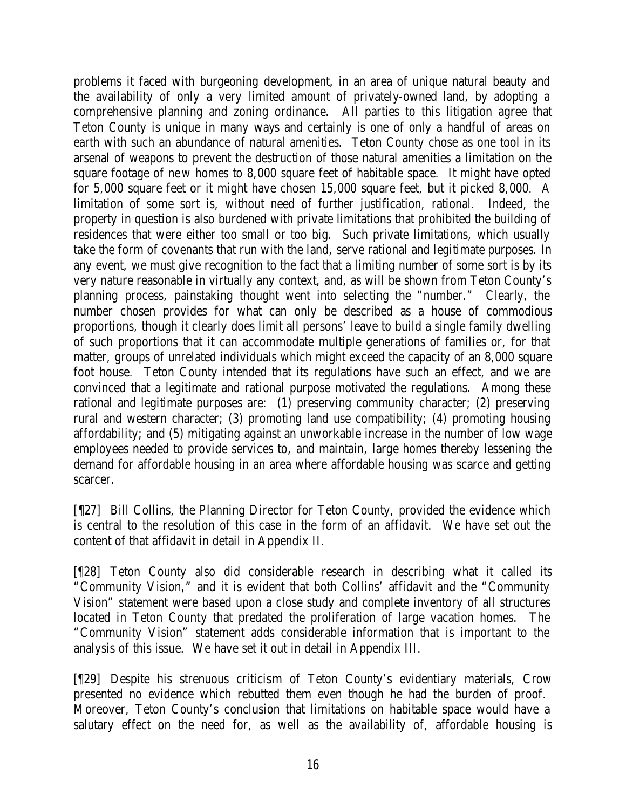problems it faced with burgeoning development, in an area of unique natural beauty and the availability of only a very limited amount of privately-owned land, by adopting a comprehensive planning and zoning ordinance. All parties to this litigation agree that Teton County is unique in many ways and certainly is one of only a handful of areas on earth with such an abundance of natural amenities. Teton County chose as one tool in its arsenal of weapons to prevent the destruction of those natural amenities a limitation on the square footage of new homes to 8,000 square feet of habitable space. It might have opted for 5,000 square feet or it might have chosen 15,000 square feet, but it picked 8,000. A limitation of some sort is, without need of further justification, rational. Indeed, the property in question is also burdened with private limitations that prohibited the building of residences that were either too small or too big. Such private limitations, which usually take the form of covenants that run with the land, serve rational and legitimate purposes. In any event, we must give recognition to the fact that a limiting number of some sort is by its very nature reasonable in virtually any context, and, as will be shown from Teton County's planning process, painstaking thought went into selecting the "number." Clearly, the number chosen provides for what can only be described as a house of commodious proportions, though it clearly does limit all persons' leave to build a single family dwelling of such proportions that it can accommodate multiple generations of families or, for that matter, groups of unrelated individuals which might exceed the capacity of an 8,000 square foot house. Teton County intended that its regulations have such an effect, and we are convinced that a legitimate and rational purpose motivated the regulations. Among these rational and legitimate purposes are: (1) preserving community character; (2) preserving rural and western character; (3) promoting land use compatibility; (4) promoting housing affordability; and (5) mitigating against an unworkable increase in the number of low wage employees needed to provide services to, and maintain, large homes thereby lessening the demand for affordable housing in an area where affordable housing was scarce and getting scarcer.

[¶27] Bill Collins, the Planning Director for Teton County, provided the evidence which is central to the resolution of this case in the form of an affidavit. We have set out the content of that affidavit in detail in Appendix II.

[¶28] Teton County also did considerable research in describing what it called its "Community Vision," and it is evident that both Collins' affidavit and the "Community Vision" statement were based upon a close study and complete inventory of all structures located in Teton County that predated the proliferation of large vacation homes. The "Community Vision" statement adds considerable information that is important to the analysis of this issue. We have set it out in detail in Appendix III.

[¶29] Despite his strenuous criticism of Teton County's evidentiary materials, Crow presented no evidence which rebutted them even though he had the burden of proof. Moreover, Teton County's conclusion that limitations on habitable space would have a salutary effect on the need for, as well as the availability of, affordable housing is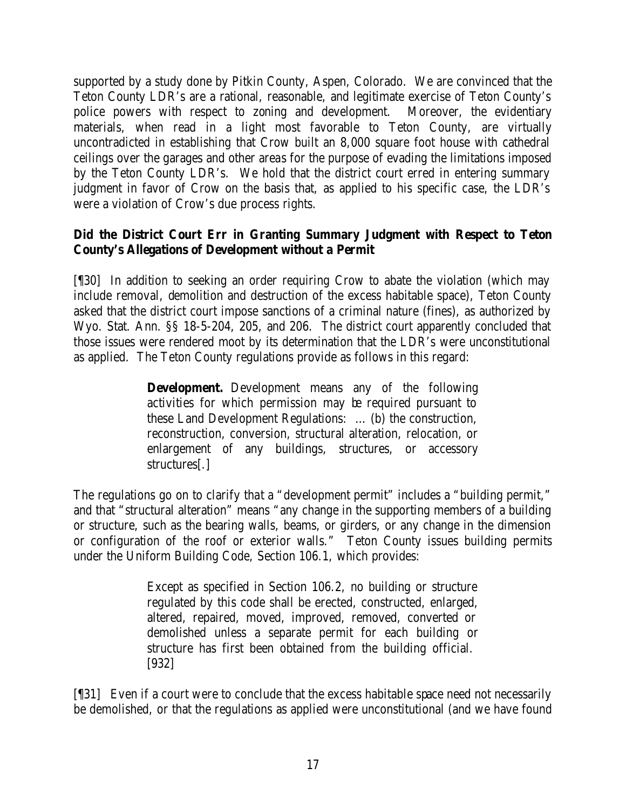supported by a study done by Pitkin County, Aspen, Colorado. We are convinced that the Teton County LDR's are a rational, reasonable, and legitimate exercise of Teton County's police powers with respect to zoning and development. Moreover, the evidentiary materials, when read in a light most favorable to Teton County, are virtually uncontradicted in establishing that Crow built an 8,000 square foot house with cathedral ceilings over the garages and other areas for the purpose of evading the limitations imposed by the Teton County LDR's. We hold that the district court erred in entering summary judgment in favor of Crow on the basis that, as applied to his specific case, the LDR's were a violation of Crow's due process rights.

# **Did the District Court Err in Granting Summary Judgment with Respect to Teton County's Allegations of Development without a Permit**

[¶30] In addition to seeking an order requiring Crow to abate the violation (which may include removal, demolition and destruction of the excess habitable space), Teton County asked that the district court impose sanctions of a criminal nature (fines), as authorized by Wyo. Stat. Ann. §§ 18-5-204, 205, and 206. The district court apparently concluded that those issues were rendered moot by its determination that the LDR's were unconstitutional as applied. The Teton County regulations provide as follows in this regard:

> **Development.** Development means any of the following activities for which permission may be required pursuant to these Land Development Regulations: … (b) the construction, reconstruction, conversion, structural alteration, relocation, or enlargement of any buildings, structures, or accessory structures[.]

The regulations go on to clarify that a "development permit" includes a "building permit," and that "structural alteration" means "any change in the supporting members of a building or structure, such as the bearing walls, beams, or girders, or any change in the dimension or configuration of the roof or exterior walls." Teton County issues building permits under the Uniform Building Code, Section 106.1, which provides:

> Except as specified in Section 106.2, no building or structure regulated by this code shall be erected, constructed, enlarged, altered, repaired, moved, improved, removed, converted or demolished unless a separate permit for each building or structure has first been obtained from the building official. [932]

[¶31] Even if a court were to conclude that the excess habitable space need not necessarily be demolished, or that the regulations as applied were unconstitutional (and we have found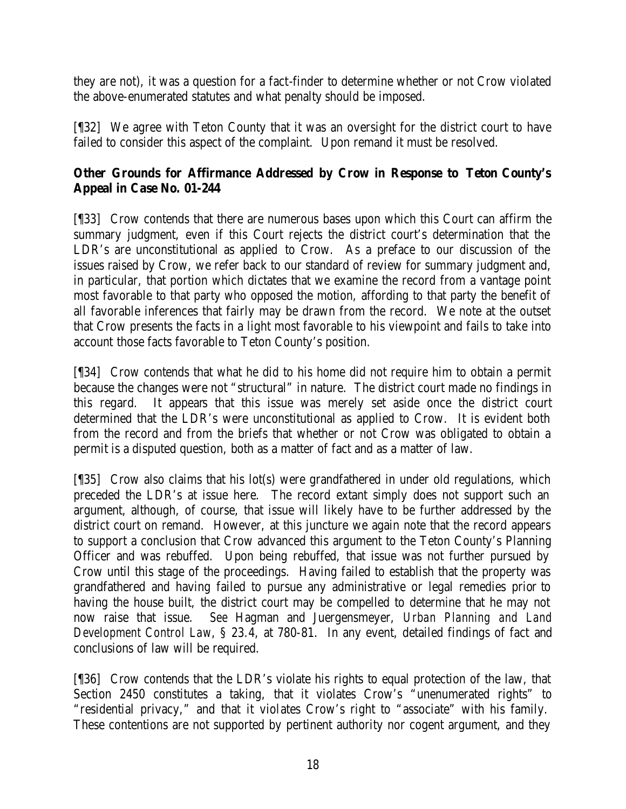they are not), it was a question for a fact-finder to determine whether or not Crow violated the above-enumerated statutes and what penalty should be imposed.

[¶32] We agree with Teton County that it was an oversight for the district court to have failed to consider this aspect of the complaint. Upon remand it must be resolved.

# **Other Grounds for Affirmance Addressed by Crow in Response to Teton County's Appeal in Case No. 01-244**

[¶33] Crow contends that there are numerous bases upon which this Court can affirm the summary judgment, even if this Court rejects the district court's determination that the LDR's are unconstitutional as applied to Crow. As a preface to our discussion of the issues raised by Crow, we refer back to our standard of review for summary judgment and, in particular, that portion which dictates that we examine the record from a vantage point most favorable to that party who opposed the motion, affording to that party the benefit of all favorable inferences that fairly may be drawn from the record. We note at the outset that Crow presents the facts in a light most favorable to his viewpoint and fails to take into account those facts favorable to Teton County's position.

[¶34] Crow contends that what he did to his home did not require him to obtain a permit because the changes were not "structural" in nature. The district court made no findings in this regard. It appears that this issue was merely set aside once the district court determined that the LDR's were unconstitutional as applied to Crow. It is evident both from the record and from the briefs that whether or not Crow was obligated to obtain a permit is a disputed question, both as a matter of fact and as a matter of law.

[¶35] Crow also claims that his lot(s) were grandfathered in under old regulations, which preceded the LDR's at issue here. The record extant simply does not support such an argument, although, of course, that issue will likely have to be further addressed by the district court on remand. However, at this juncture we again note that the record appears to support a conclusion that Crow advanced this argument to the Teton County's Planning Officer and was rebuffed. Upon being rebuffed, that issue was not further pursued by Crow until this stage of the proceedings. Having failed to establish that the property was grandfathered and having failed to pursue any administrative or legal remedies prior to having the house built, the district court may be compelled to determine that he may not now raise that issue. *See* Hagman and Juergensmeyer, *Urban Planning and Land Development Control Law*, § 23.4, at 780-81. In any event, detailed findings of fact and conclusions of law will be required.

[¶36] Crow contends that the LDR's violate his rights to equal protection of the law, that Section 2450 constitutes a taking, that it violates Crow's "unenumerated rights" to "residential privacy," and that it violates Crow's right to "associate" with his family. These contentions are not supported by pertinent authority nor cogent argument, and they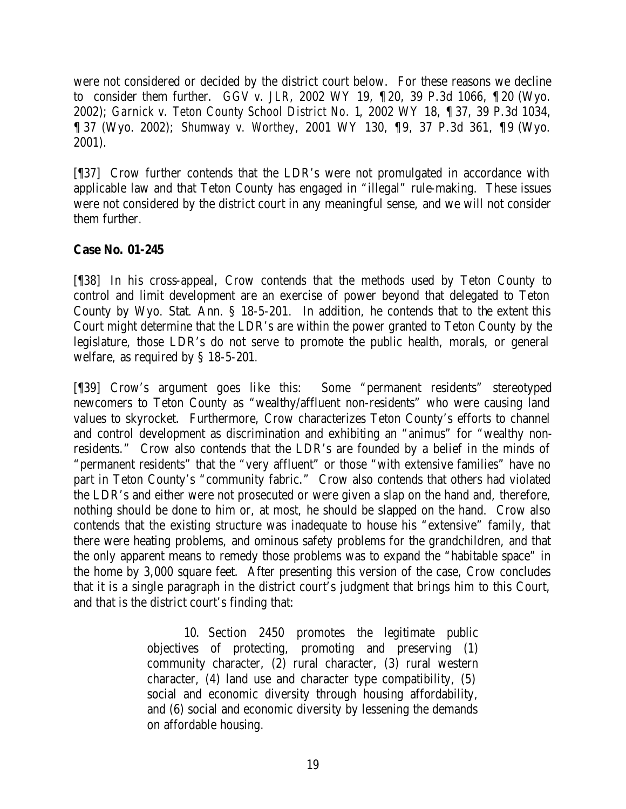were not considered or decided by the district court below. For these reasons we decline to consider them further. *GGV v. JLR*, 2002 WY 19, ¶ 20, 39 P.3d 1066, ¶ 20 (Wyo. 2002); *Garnick v. Teton County School District No. 1*, 2002 WY 18, ¶ 37, 39 P.3d 1034, ¶ 37 (Wyo. 2002); *Shumway v. Worthey*, 2001 WY 130, ¶9, 37 P.3d 361, ¶9 (Wyo. 2001).

[¶37] Crow further contends that the LDR's were not promulgated in accordance with applicable law and that Teton County has engaged in "illegal" rule-making. These issues were not considered by the district court in any meaningful sense, and we will not consider them further.

# **Case No. 01-245**

[¶38] In his cross-appeal, Crow contends that the methods used by Teton County to control and limit development are an exercise of power beyond that delegated to Teton County by Wyo. Stat. Ann. § 18-5-201. In addition, he contends that to the extent this Court might determine that the LDR's are within the power granted to Teton County by the legislature, those LDR's do not serve to promote the public health, morals, or general welfare, as required by § 18-5-201.

[¶39] Crow's argument goes like this: Some "permanent residents" stereotyped newcomers to Teton County as "wealthy/affluent non-residents" who were causing land values to skyrocket. Furthermore, Crow characterizes Teton County's efforts to channel and control development as discrimination and exhibiting an "animus" for "wealthy nonresidents." Crow also contends that the LDR's are founded by a belief in the minds of "permanent residents" that the "very affluent" or those "with extensive families" have no part in Teton County's "community fabric." Crow also contends that others had violated the LDR's and either were not prosecuted or were given a slap on the hand and, therefore, nothing should be done to him or, at most, he should be slapped on the hand. Crow also contends that the existing structure was inadequate to house his "extensive" family, that there were heating problems, and ominous safety problems for the grandchildren, and that the only apparent means to remedy those problems was to expand the "habitable space" in the home by 3,000 square feet. After presenting this version of the case, Crow concludes that it is a single paragraph in the district court's judgment that brings him to this Court, and that is the district court's finding that:

> 10. Section 2450 promotes the legitimate public objectives of protecting, promoting and preserving (1) community character, (2) rural character, (3) rural western character, (4) land use and character type compatibility, (5) social and economic diversity through housing affordability, and (6) social and economic diversity by lessening the demands on affordable housing.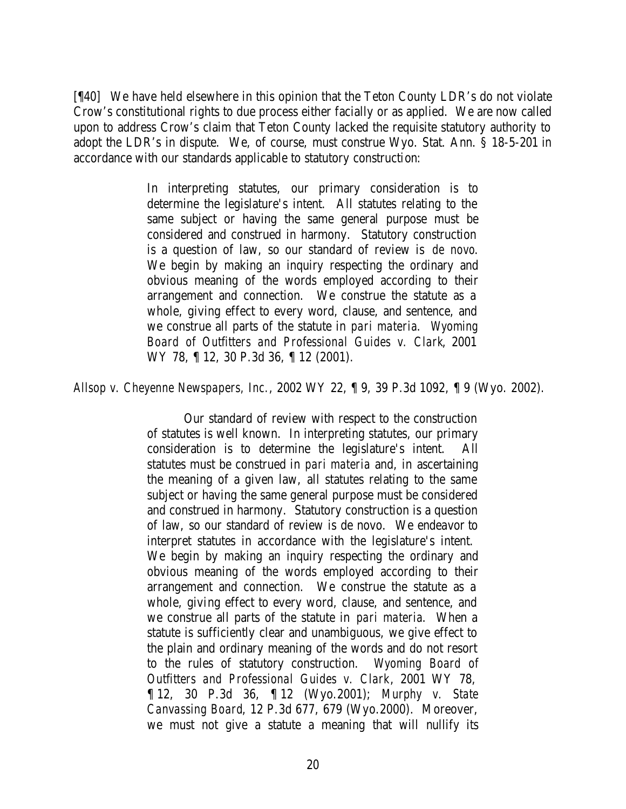[¶40] We have held elsewhere in this opinion that the Teton County LDR's do not violate Crow's constitutional rights to due process either facially or as applied. We are now called upon to address Crow's claim that Teton County lacked the requisite statutory authority to adopt the LDR's in dispute. We, of course, must construe Wyo. Stat. Ann. § 18-5-201 in accordance with our standards applicable to statutory construction:

> In interpreting statutes, our primary consideration is to determine the legislature's intent. All statutes relating to the same subject or having the same general purpose must be considered and construed in harmony. Statutory construction is a question of law, so our standard of review is *de novo*. We begin by making an inquiry respecting the ordinary and obvious meaning of the words employed according to their arrangement and connection. We construe the statute as a whole, giving effect to every word, clause, and sentence, and we construe all parts of the statute in *pari materia*. *Wyoming Board of Outfitters and Professional Guides v. Clark*, 2001 WY 78, 12, 30 P.3d 36, 12 (2001).

*Allsop v. Cheyenne Newspapers, Inc.*, 2002 WY 22, ¶ 9, 39 P.3d 1092, ¶ 9 (Wyo. 2002).

Our standard of review with respect to the construction of statutes is well known. In interpreting statutes, our primary consideration is to determine the legislature's intent. All statutes must be construed in *pari materia* and, in ascertaining the meaning of a given law, all statutes relating to the same subject or having the same general purpose must be considered and construed in harmony. Statutory construction is a question of law, so our standard of review is de novo. We endeavor to interpret statutes in accordance with the legislature's intent. We begin by making an inquiry respecting the ordinary and obvious meaning of the words employed according to their arrangement and connection. We construe the statute as a whole, giving effect to every word, clause, and sentence, and we construe all parts of the statute in *pari materia*. When a statute is sufficiently clear and unambiguous, we give effect to the plain and ordinary meaning of the words and do not resort to the rules of statutory construction. *Wyoming Board of Outfitters and Professional Guides v. Clark*, 2001 WY 78, ¶ 12, 30 P.3d 36, ¶ 12 (Wyo.2001); *Murphy v. State Canvassing Board*, 12 P.3d 677, 679 (Wyo.2000). Moreover, we must not give a statute a meaning that will nullify its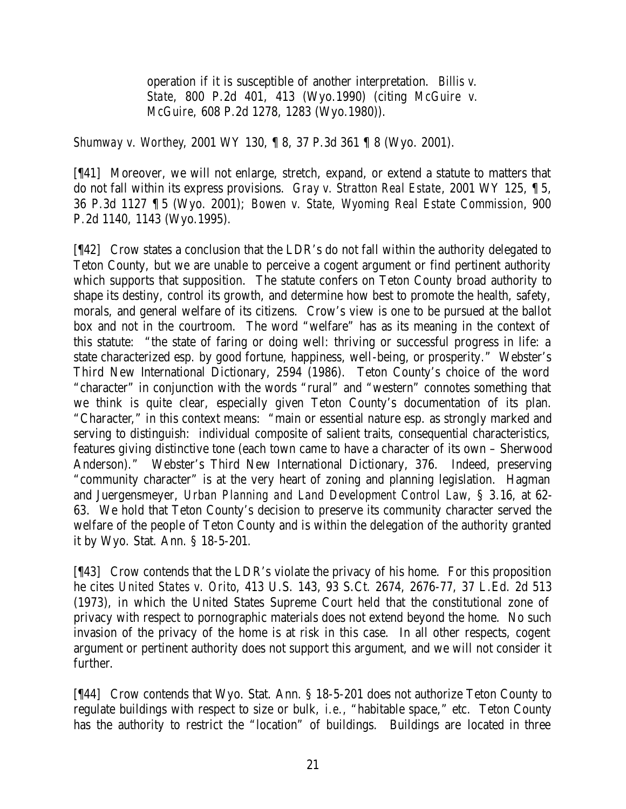operation if it is susceptible of another interpretation. *Billis v. State*, 800 P.2d 401, 413 (Wyo.1990) (citing *McGuire v. McGuire*, 608 P.2d 1278, 1283 (Wyo.1980)).

*Shumway v. Worthey*, 2001 WY 130, ¶ 8, 37 P.3d 361 ¶ 8 (Wyo. 2001).

[¶41] Moreover, we will not enlarge, stretch, expand, or extend a statute to matters that do not fall within its express provisions. *Gray v. Stratton Real Estate*, 2001 WY 125, ¶ 5, 36 P.3d 1127 ¶ 5 (Wyo. 2001); *Bowen v. State, Wyoming Real Estate Commission*, 900 P.2d 1140, 1143 (Wyo.1995).

[¶42] Crow states a conclusion that the LDR's do not fall within the authority delegated to Teton County, but we are unable to perceive a cogent argument or find pertinent authority which supports that supposition. The statute confers on Teton County broad authority to shape its destiny, control its growth, and determine how best to promote the health, safety, morals, and general welfare of its citizens. Crow's view is one to be pursued at the ballot box and not in the courtroom. The word "welfare" has as its meaning in the context of this statute: "the state of faring or doing well: thriving or successful progress in life: a state characterized esp. by good fortune, happiness, well-being, or prosperity." Webster's Third New International Dictionary, 2594 (1986). Teton County's choice of the word "character" in conjunction with the words "rural" and "western" connotes something that we think is quite clear, especially given Teton County's documentation of its plan. "Character," in this context means: "main or essential nature esp. as strongly marked and serving to distinguish: individual composite of salient traits, consequential characteristics, features giving distinctive tone (each town came to have a character of its own – Sherwood Anderson)." Webster's Third New International Dictionary, 376. Indeed, preserving "community character" is at the very heart of zoning and planning legislation. Hagman and Juergensmeyer, *Urban Planning and Land Development Control Law*, § 3.16, at 62- 63. We hold that Teton County's decision to preserve its community character served the welfare of the people of Teton County and is within the delegation of the authority granted it by Wyo. Stat. Ann. § 18-5-201.

[¶43] Crow contends that the LDR's violate the privacy of his home. For this proposition he cites *United States v. Orito*, 413 U.S. 143, 93 S.Ct. 2674, 2676-77, 37 L.Ed. 2d 513 (1973), in which the United States Supreme Court held that the constitutional zone of privacy with respect to pornographic materials does not extend beyond the home. No such invasion of the privacy of the home is at risk in this case. In all other respects, cogent argument or pertinent authority does not support this argument, and we will not consider it further.

[¶44] Crow contends that Wyo. Stat. Ann. § 18-5-201 does not authorize Teton County to regulate buildings with respect to size or bulk, *i.e.,* "habitable space," etc. Teton County has the authority to restrict the "location" of buildings. Buildings are located in three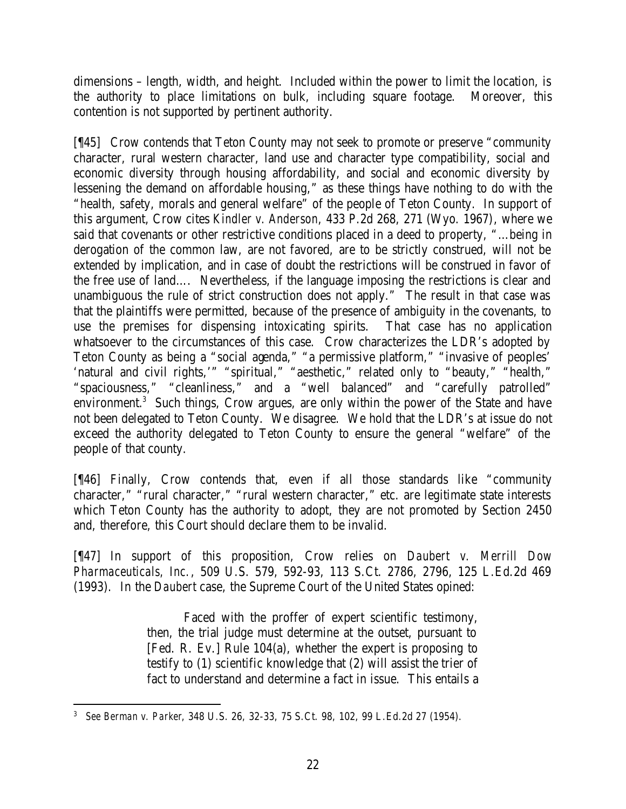dimensions – length, width, and height. Included within the power to limit the location, is the authority to place limitations on bulk, including square footage. Moreover, this contention is not supported by pertinent authority.

[¶45] Crow contends that Teton County may not seek to promote or preserve "community character, rural western character, land use and character type compatibility, social and economic diversity through housing affordability, and social and economic diversity by lessening the demand on affordable housing," as these things have nothing to do with the "health, safety, morals and general welfare" of the people of Teton County. In support of this argument, Crow cites *Kindler v. Anderson*, 433 P.2d 268, 271 (Wyo. 1967), where we said that covenants or other restrictive conditions placed in a deed to property, "…being in derogation of the common law, are not favored, are to be strictly construed, will not be extended by implication, and in case of doubt the restrictions will be construed in favor of the free use of land…. Nevertheless, if the language imposing the restrictions is clear and unambiguous the rule of strict construction does not apply." The result in that case was that the plaintiffs were permitted, because of the presence of ambiguity in the covenants, to use the premises for dispensing intoxicating spirits. That case has no application whatsoever to the circumstances of this case. Crow characterizes the LDR's adopted by Teton County as being a "social agenda," "a permissive platform," "invasive of peoples' 'natural and civil rights,'" "spiritual," "aesthetic," related only to "beauty," "health," "spaciousness," "cleanliness," and a "well balanced" and "carefully patrolled" environment.<sup>3</sup> Such things, Crow argues, are only within the power of the State and have not been delegated to Teton County. We disagree. We hold that the LDR's at issue do not exceed the authority delegated to Teton County to ensure the general "welfare" of the people of that county.

[¶46] Finally, Crow contends that, even if all those standards like "community character," "rural character," "rural western character," etc. are legitimate state interests which Teton County has the authority to adopt, they are not promoted by Section 2450 and, therefore, this Court should declare them to be invalid.

[¶47] In support of this proposition, Crow relies on *Daubert v. Merrill Dow Pharmaceuticals, Inc.*, 509 U.S. 579, 592-93, 113 S.Ct. 2786, 2796, 125 L.Ed.2d 469 (1993). In the *Daubert* case, the Supreme Court of the United States opined:

> Faced with the proffer of expert scientific testimony, then, the trial judge must determine at the outset, pursuant to [Fed. R. Ev.] Rule 104(a), whether the expert is proposing to testify to (1) scientific knowledge that (2) will assist the trier of fact to understand and determine a fact in issue. This entails a

 3 *See Berman v. Parker*, 348 U.S. 26, 32-33, 75 S.Ct. 98, 102, 99 L.Ed.2d 27 (1954).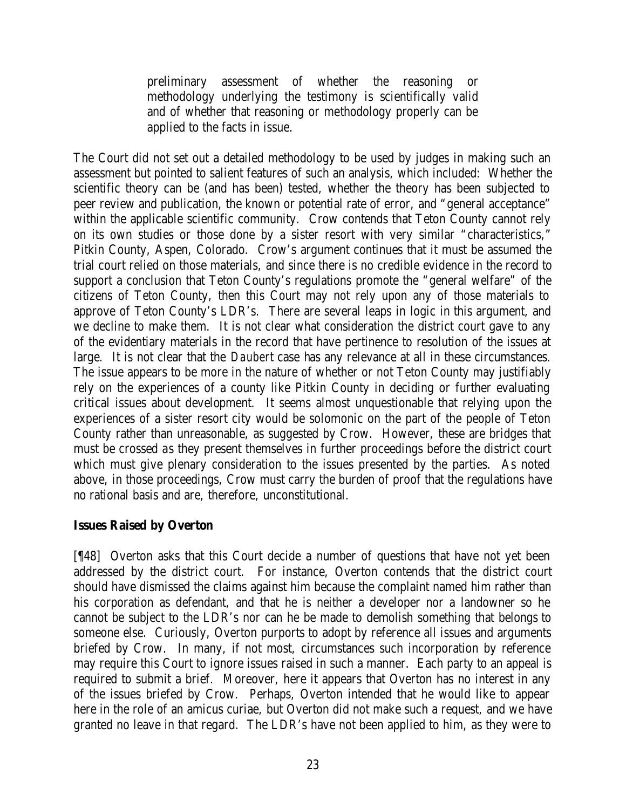preliminary assessment of whether the reasoning or methodology underlying the testimony is scientifically valid and of whether that reasoning or methodology properly can be applied to the facts in issue.

The Court did not set out a detailed methodology to be used by judges in making such an assessment but pointed to salient features of such an analysis, which included: Whether the scientific theory can be (and has been) tested, whether the theory has been subjected to peer review and publication, the known or potential rate of error, and "general acceptance" within the applicable scientific community. Crow contends that Teton County cannot rely on its own studies or those done by a sister resort with very similar "characteristics," Pitkin County, Aspen, Colorado. Crow's argument continues that it must be assumed the trial court relied on those materials, and since there is no credible evidence in the record to support a conclusion that Teton County's regulations promote the "general welfare" of the citizens of Teton County, then this Court may not rely upon any of those materials to approve of Teton County's LDR's. There are several leaps in logic in this argument, and we decline to make them. It is not clear what consideration the district court gave to any of the evidentiary materials in the record that have pertinence to resolution of the issues at large. It is not clear that the *Daubert* case has any relevance at all in these circumstances. The issue appears to be more in the nature of whether or not Teton County may justifiably rely on the experiences of a county like Pitkin County in deciding or further evaluating critical issues about development. It seems almost unquestionable that relying upon the experiences of a sister resort city would be solomonic on the part of the people of Teton County rather than unreasonable, as suggested by Crow. However, these are bridges that must be crossed as they present themselves in further proceedings before the district court which must give plenary consideration to the issues presented by the parties. As noted above, in those proceedings, Crow must carry the burden of proof that the regulations have no rational basis and are, therefore, unconstitutional.

#### **Issues Raised by Overton**

[¶48] Overton asks that this Court decide a number of questions that have not yet been addressed by the district court. For instance, Overton contends that the district court should have dismissed the claims against him because the complaint named him rather than his corporation as defendant, and that he is neither a developer nor a landowner so he cannot be subject to the LDR's nor can he be made to demolish something that belongs to someone else. Curiously, Overton purports to adopt by reference all issues and arguments briefed by Crow. In many, if not most, circumstances such incorporation by reference may require this Court to ignore issues raised in such a manner. Each party to an appeal is required to submit a brief. Moreover, here it appears that Overton has no interest in any of the issues briefed by Crow. Perhaps, Overton intended that he would like to appear here in the role of an amicus curiae, but Overton did not make such a request, and we have granted no leave in that regard. The LDR's have not been applied to him, as they were to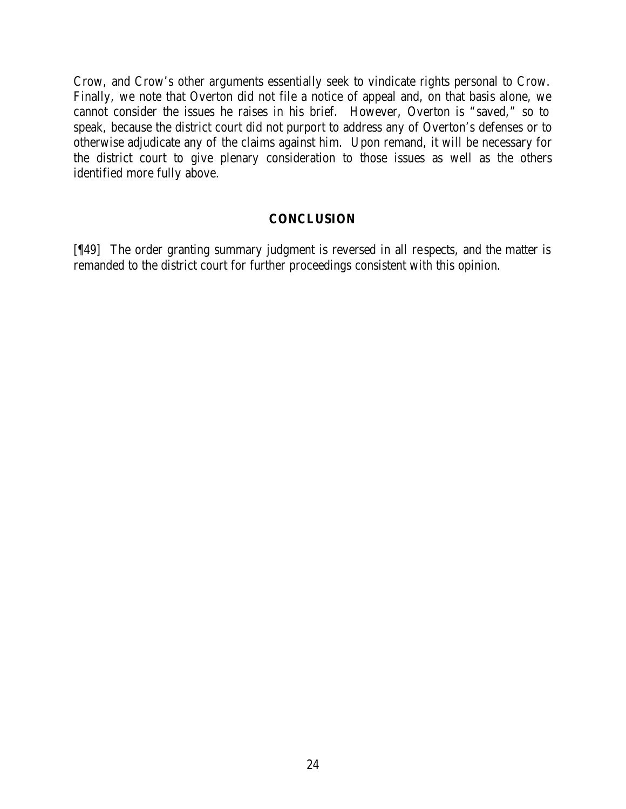Crow, and Crow's other arguments essentially seek to vindicate rights personal to Crow. Finally, we note that Overton did not file a notice of appeal and, on that basis alone, we cannot consider the issues he raises in his brief. However, Overton is "saved," so to speak, because the district court did not purport to address any of Overton's defenses or to otherwise adjudicate any of the claims against him. Upon remand, it will be necessary for the district court to give plenary consideration to those issues as well as the others identified more fully above.

#### **CONCLUSION**

[¶49] The order granting summary judgment is reversed in all respects, and the matter is remanded to the district court for further proceedings consistent with this opinion.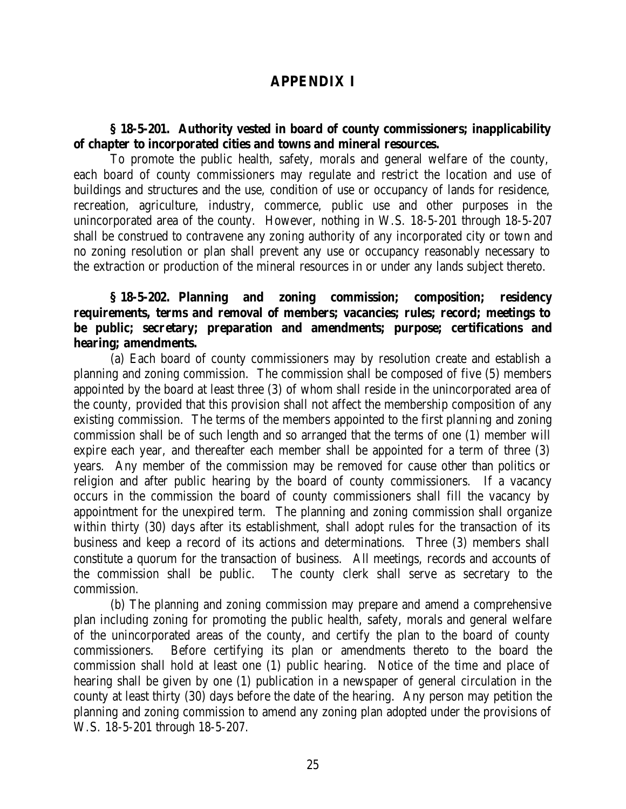# **APPENDIX I**

### **§ 18-5-201. Authority vested in board of county commissioners; inapplicability of chapter to incorporated cities and towns and mineral resources.**

To promote the public health, safety, morals and general welfare of the county, each board of county commissioners may regulate and restrict the location and use of buildings and structures and the use, condition of use or occupancy of lands for residence, recreation, agriculture, industry, commerce, public use and other purposes in the unincorporated area of the county. However, nothing in W.S. 18-5-201 through 18-5-207 shall be construed to contravene any zoning authority of any incorporated city or town and no zoning resolution or plan shall prevent any use or occupancy reasonably necessary to the extraction or production of the mineral resources in or under any lands subject thereto.

### **§ 18-5-202. Planning and zoning commission; composition; residency requirements, terms and removal of members; vacancies; rules; record; meetings to be public; secretary; preparation and amendments; purpose; certifications and hearing; amendments.**

(a) Each board of county commissioners may by resolution create and establish a planning and zoning commission. The commission shall be composed of five (5) members appointed by the board at least three (3) of whom shall reside in the unincorporated area of the county, provided that this provision shall not affect the membership composition of any existing commission. The terms of the members appointed to the first planning and zoning commission shall be of such length and so arranged that the terms of one (1) member will expire each year, and thereafter each member shall be appointed for a term of three (3) years. Any member of the commission may be removed for cause other than politics or religion and after public hearing by the board of county commissioners. If a vacancy occurs in the commission the board of county commissioners shall fill the vacancy by appointment for the unexpired term. The planning and zoning commission shall organize within thirty (30) days after its establishment, shall adopt rules for the transaction of its business and keep a record of its actions and determinations. Three (3) members shall constitute a quorum for the transaction of business. All meetings, records and accounts of the commission shall be public. The county clerk shall serve as secretary to the commission.

(b) The planning and zoning commission may prepare and amend a comprehensive plan including zoning for promoting the public health, safety, morals and general welfare of the unincorporated areas of the county, and certify the plan to the board of county commissioners. Before certifying its plan or amendments thereto to the board the commission shall hold at least one (1) public hearing. Notice of the time and place of hearing shall be given by one (1) publication in a newspaper of general circulation in the county at least thirty (30) days before the date of the hearing. Any person may petition the planning and zoning commission to amend any zoning plan adopted under the provisions of W.S. 18-5-201 through 18-5-207.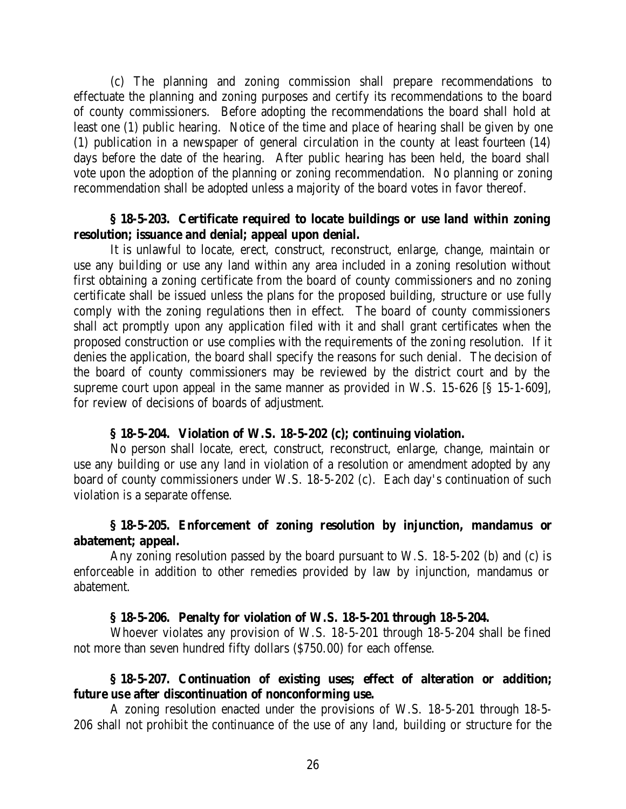(c) The planning and zoning commission shall prepare recommendations to effectuate the planning and zoning purposes and certify its recommendations to the board of county commissioners. Before adopting the recommendations the board shall hold at least one (1) public hearing. Notice of the time and place of hearing shall be given by one (1) publication in a newspaper of general circulation in the county at least fourteen (14) days before the date of the hearing. After public hearing has been held, the board shall vote upon the adoption of the planning or zoning recommendation. No planning or zoning recommendation shall be adopted unless a majority of the board votes in favor thereof.

#### **§ 18-5-203. Certificate required to locate buildings or use land within zoning resolution; issuance and denial; appeal upon denial.**

It is unlawful to locate, erect, construct, reconstruct, enlarge, change, maintain or use any building or use any land within any area included in a zoning resolution without first obtaining a zoning certificate from the board of county commissioners and no zoning certificate shall be issued unless the plans for the proposed building, structure or use fully comply with the zoning regulations then in effect. The board of county commissioners shall act promptly upon any application filed with it and shall grant certificates when the proposed construction or use complies with the requirements of the zoning resolution. If it denies the application, the board shall specify the reasons for such denial. The decision of the board of county commissioners may be reviewed by the district court and by the supreme court upon appeal in the same manner as provided in W.S. 15-626 [§ 15-1-609], for review of decisions of boards of adjustment.

#### **§ 18-5-204. Violation of W.S. 18-5-202 (c); continuing violation.**

No person shall locate, erect, construct, reconstruct, enlarge, change, maintain or use any building or use any land in violation of a resolution or amendment adopted by any board of county commissioners under W.S. 18-5-202 (c). Each day's continuation of such violation is a separate offense.

### **§ 18-5-205. Enforcement of zoning resolution by injunction, mandamus or abatement; appeal.**

Any zoning resolution passed by the board pursuant to W.S. 18-5-202 (b) and (c) is enforceable in addition to other remedies provided by law by injunction, mandamus or abatement.

#### **§ 18-5-206. Penalty for violation of W.S. 18-5-201 through 18-5-204.**

Whoever violates any provision of W.S. 18-5-201 through 18-5-204 shall be fined not more than seven hundred fifty dollars (\$750.00) for each offense.

### **§ 18-5-207. Continuation of existing uses; effect of alteration or addition; future use after discontinuation of nonconforming use.**

A zoning resolution enacted under the provisions of W.S. 18-5-201 through 18-5- 206 shall not prohibit the continuance of the use of any land, building or structure for the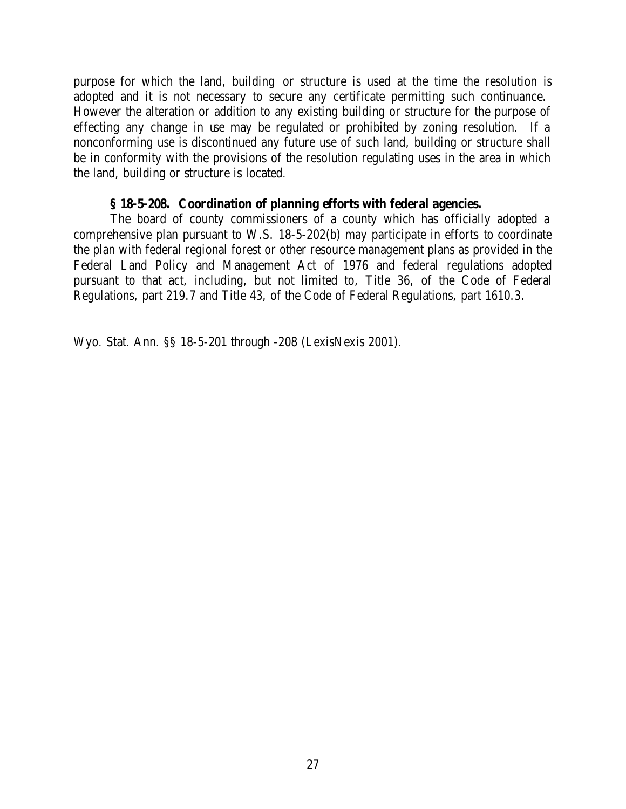purpose for which the land, building or structure is used at the time the resolution is adopted and it is not necessary to secure any certificate permitting such continuance. However the alteration or addition to any existing building or structure for the purpose of effecting any change in use may be regulated or prohibited by zoning resolution. If a nonconforming use is discontinued any future use of such land, building or structure shall be in conformity with the provisions of the resolution regulating uses in the area in which the land, building or structure is located.

# **§ 18-5-208. Coordination of planning efforts with federal agencies.**

The board of county commissioners of a county which has officially adopted a comprehensive plan pursuant to W.S. 18-5-202(b) may participate in efforts to coordinate the plan with federal regional forest or other resource management plans as provided in the Federal Land Policy and Management Act of 1976 and federal regulations adopted pursuant to that act, including, but not limited to, Title 36, of the Code of Federal Regulations, part 219.7 and Title 43, of the Code of Federal Regulations, part 1610.3.

Wyo. Stat. Ann. §§ 18-5-201 through -208 (LexisNexis 2001).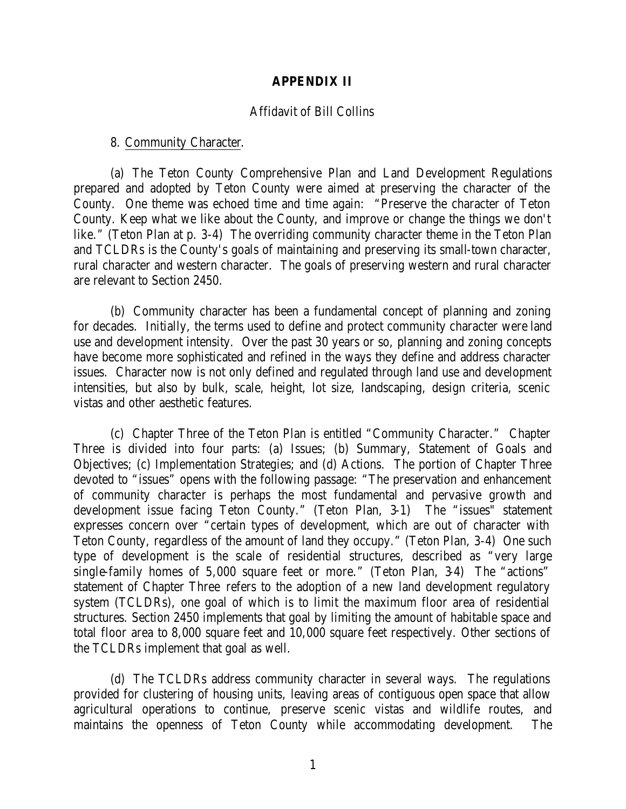#### **APPENDIX II**

#### Affidavit of Bill Collins

#### 8. Community Character.

(a) The Teton County Comprehensive Plan and Land Development Regulations prepared and adopted by Teton County were aimed at preserving the character of the County. One theme was echoed time and time again: "Preserve the character of Teton County. Keep what we like about the County, and improve or change the things we don't like." (Teton Plan at p. 3-4) The overriding community character theme in the Teton Plan and TCLDRs is the County's goals of maintaining and preserving its small-town character, rural character and western character. The goals of preserving western and rural character are relevant to Section 2450.

(b) Community character has been a fundamental concept of planning and zoning for decades. Initially, the terms used to define and protect community character were land use and development intensity. Over the past 30 years or so, planning and zoning concepts have become more sophisticated and refined in the ways they define and address character issues. Character now is not only defined and regulated through land use and development intensities, but also by bulk, scale, height, lot size, landscaping, design criteria, scenic vistas and other aesthetic features.

(c) Chapter Three of the Teton Plan is entitled "Community Character." Chapter Three is divided into four parts: (a) Issues; (b) Summary, Statement of Goals and Objectives; (c) Implementation Strategies; and (d) Actions. The portion of Chapter Three devoted to "issues" opens with the following passage: "The preservation and enhancement of community character is perhaps the most fundamental and pervasive growth and development issue facing Teton County." (Teton Plan, 3-1) The "issues" statement expresses concern over "certain types of development, which are out of character with Teton County, regardless of the amount of land they occupy." (Teton Plan, 3-4) One such type of development is the scale of residential structures, described as "very large single-family homes of 5,000 square feet or more." (Teton Plan, 3-4) The "actions" statement of Chapter Three refers to the adoption of a new land development regulatory system (TCLDRs), one goal of which is to limit the maximum floor area of residential structures. Section 2450 implements that goal by limiting the amount of habitable space and total floor area to 8,000 square feet and 10,000 square feet respectively. Other sections of the TCLDRs implement that goal as well.

(d) The TCLDRs address community character in several ways. The regulations provided for clustering of housing units, leaving areas of contiguous open space that allow agricultural operations to continue, preserve scenic vistas and wildlife routes, and maintains the openness of Teton County while accommodating development. The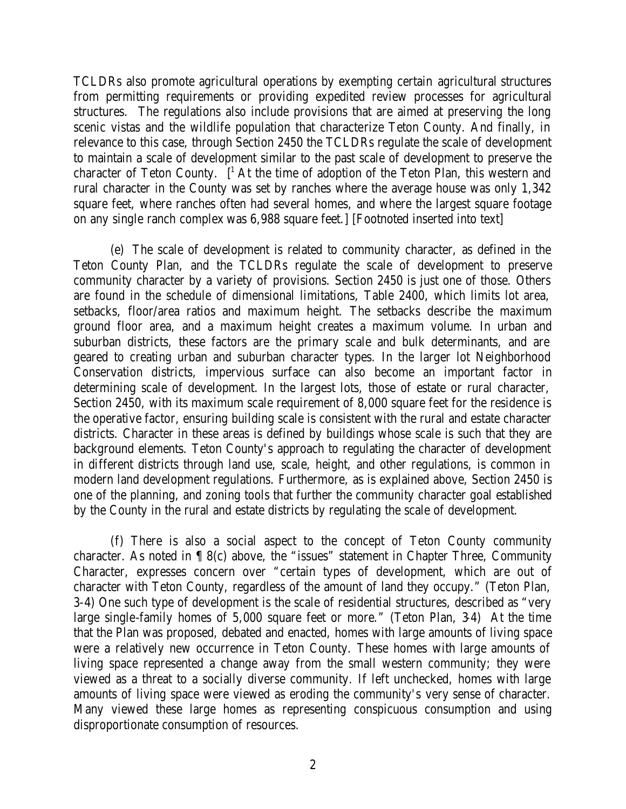TCLDRs also promote agricultural operations by exempting certain agricultural structures from permitting requirements or providing expedited review processes for agricultural structures. The regulations also include provisions that are aimed at preserving the long scenic vistas and the wildlife population that characterize Teton County. And finally, in relevance to this case, through Section 2450 the TCLDRs regulate the scale of development to maintain a scale of development similar to the past scale of development to preserve the character of Teton County.  $[$ <sup>1</sup> At the time of adoption of the Teton Plan, this western and rural character in the County was set by ranches where the average house was only 1,342 square feet, where ranches often had several homes, and where the largest square footage on any single ranch complex was 6,988 square feet.] [Footnoted inserted into text]

(e) The scale of development is related to community character, as defined in the Teton County Plan, and the TCLDRs regulate the scale of development to preserve community character by a variety of provisions. Section 2450 is just one of those. Others are found in the schedule of dimensional limitations, Table 2400, which limits lot area, setbacks, floor/area ratios and maximum height. The setbacks describe the maximum ground floor area, and a maximum height creates a maximum volume. In urban and suburban districts, these factors are the primary scale and bulk determinants, and are geared to creating urban and suburban character types. In the larger lot Neighborhood Conservation districts, impervious surface can also become an important factor in determining scale of development. In the largest lots, those of estate or rural character, Section 2450, with its maximum scale requirement of 8,000 square feet for the residence is the operative factor, ensuring building scale is consistent with the rural and estate character districts. Character in these areas is defined by buildings whose scale is such that they are background elements. Teton County's approach to regulating the character of development in different districts through land use, scale, height, and other regulations, is common in modern land development regulations. Furthermore, as is explained above, Section 2450 is one of the planning, and zoning tools that further the community character goal established by the County in the rural and estate districts by regulating the scale of development.

(f) There is also a social aspect to the concept of Teton County community character. As noted in ¶ 8(c) above, the "issues" statement in Chapter Three, Community Character, expresses concern over "certain types of development, which are out of character with Teton County, regardless of the amount of land they occupy." (Teton Plan, 3-4) One such type of development is the scale of residential structures, described as "very large single-family homes of 5,000 square feet or more." (Teton Plan, 3-4) At the time that the Plan was proposed, debated and enacted, homes with large amounts of living space were a relatively new occurrence in Teton County. These homes with large amounts of living space represented a change away from the small western community; they were viewed as a threat to a socially diverse community. If left unchecked, homes with large amounts of living space were viewed as eroding the community's very sense of character. Many viewed these large homes as representing conspicuous consumption and using disproportionate consumption of resources.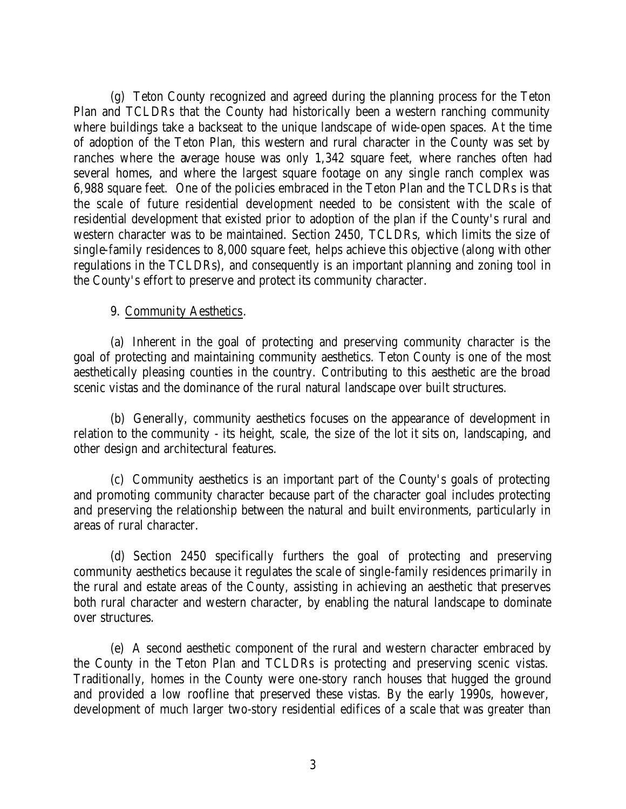(g) Teton County recognized and agreed during the planning process for the Teton Plan and TCLDRs that the County had historically been a western ranching community where buildings take a backseat to the unique landscape of wide-open spaces. At the time of adoption of the Teton Plan, this western and rural character in the County was set by ranches where the average house was only 1,342 square feet, where ranches often had several homes, and where the largest square footage on any single ranch complex was 6,988 square feet. One of the policies embraced in the Teton Plan and the TCLDRs is that the scale of future residential development needed to be consistent with the scale of residential development that existed prior to adoption of the plan if the County's rural and western character was to be maintained. Section 2450, TCLDRs, which limits the size of single-family residences to 8,000 square feet, helps achieve this objective (along with other regulations in the TCLDRs), and consequently is an important planning and zoning tool in the County's effort to preserve and protect its community character.

#### 9. Community Aesthetics.

(a) Inherent in the goal of protecting and preserving community character is the goal of protecting and maintaining community aesthetics. Teton County is one of the most aesthetically pleasing counties in the country. Contributing to this aesthetic are the broad scenic vistas and the dominance of the rural natural landscape over built structures.

(b) Generally, community aesthetics focuses on the appearance of development in relation to the community - its height, scale, the size of the lot it sits on, landscaping, and other design and architectural features.

(c) Community aesthetics is an important part of the County's goals of protecting and promoting community character because part of the character goal includes protecting and preserving the relationship between the natural and built environments, particularly in areas of rural character.

(d) Section 2450 specifically furthers the goal of protecting and preserving community aesthetics because it regulates the scale of single-family residences primarily in the rural and estate areas of the County, assisting in achieving an aesthetic that preserves both rural character and western character, by enabling the natural landscape to dominate over structures.

(e) A second aesthetic component of the rural and western character embraced by the County in the Teton Plan and TCLDRs is protecting and preserving scenic vistas. Traditionally, homes in the County were one-story ranch houses that hugged the ground and provided a low roofline that preserved these vistas. By the early 1990s, however, development of much larger two-story residential edifices of a scale that was greater than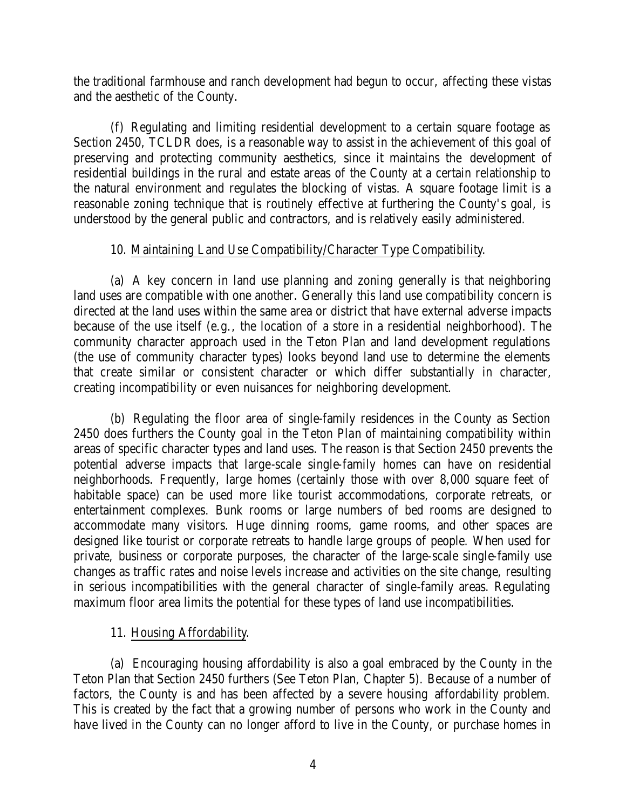the traditional farmhouse and ranch development had begun to occur, affecting these vistas and the aesthetic of the County.

(f) Regulating and limiting residential development to a certain square footage as Section 2450, TCLDR does, is a reasonable way to assist in the achievement of this goal of preserving and protecting community aesthetics, since it maintains the development of residential buildings in the rural and estate areas of the County at a certain relationship to the natural environment and regulates the blocking of vistas. A square footage limit is a reasonable zoning technique that is routinely effective at furthering the County's goal, is understood by the general public and contractors, and is relatively easily administered.

### 10. Maintaining Land Use Compatibility/Character Type Compatibility.

(a) A key concern in land use planning and zoning generally is that neighboring land uses are compatible with one another. Generally this land use compatibility concern is directed at the land uses within the same area or district that have external adverse impacts because of the use itself (e.g., the location of a store in a residential neighborhood). The community character approach used in the Teton Plan and land development regulations (the use of community character types) looks beyond land use to determine the elements that create similar or consistent character or which differ substantially in character, creating incompatibility or even nuisances for neighboring development.

(b) Regulating the floor area of single-family residences in the County as Section 2450 does furthers the County goal in the Teton Plan of maintaining compatibility within areas of specific character types and land uses. The reason is that Section 2450 prevents the potential adverse impacts that large-scale single-family homes can have on residential neighborhoods. Frequently, large homes (certainly those with over 8,000 square feet of habitable space) can be used more like tourist accommodations, corporate retreats, or entertainment complexes. Bunk rooms or large numbers of bed rooms are designed to accommodate many visitors. Huge dinning rooms, game rooms, and other spaces are designed like tourist or corporate retreats to handle large groups of people. When used for private, business or corporate purposes, the character of the large-scale single-family use changes as traffic rates and noise levels increase and activities on the site change, resulting in serious incompatibilities with the general character of single-family areas. Regulating maximum floor area limits the potential for these types of land use incompatibilities.

### 11. Housing Affordability.

(a) Encouraging housing affordability is also a goal embraced by the County in the Teton Plan that Section 2450 furthers (See Teton Plan, Chapter 5). Because of a number of factors, the County is and has been affected by a severe housing affordability problem. This is created by the fact that a growing number of persons who work in the County and have lived in the County can no longer afford to live in the County, or purchase homes in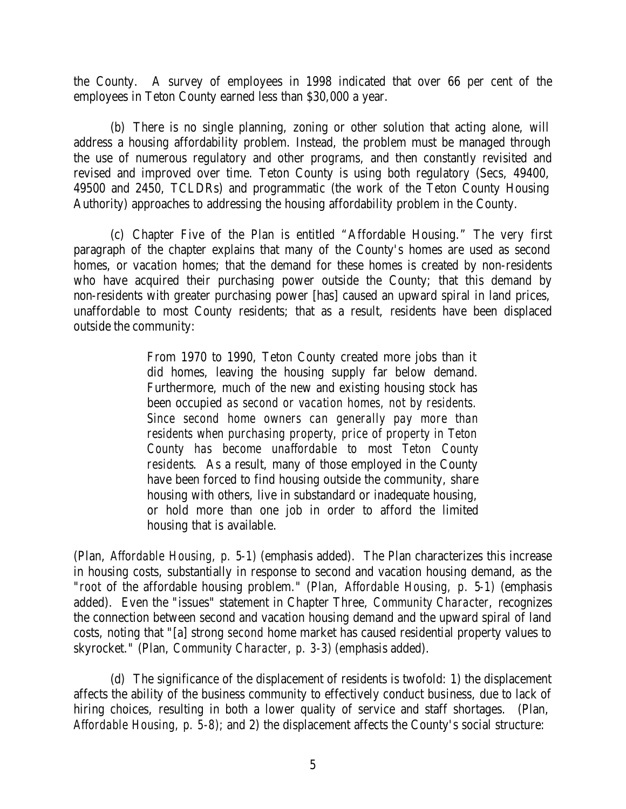the County. A survey of employees in 1998 indicated that over 66 per cent of the employees in Teton County earned less than \$30,000 a year.

(b) There is no single planning, zoning or other solution that acting alone, will address a housing affordability problem. Instead, the problem must be managed through the use of numerous regulatory and other programs, and then constantly revisited and revised and improved over time. Teton County is using both regulatory (Secs, 49400, 49500 and 2450, TCLDRs) and programmatic (the work of the Teton County Housing Authority) approaches to addressing the housing affordability problem in the County.

(c) Chapter Five of the Plan is entitled "Affordable Housing." The very first paragraph of the chapter explains that many of the County's homes are used as second homes, or vacation homes; that the demand for these homes is created by non-residents who have acquired their purchasing power outside the County; that this demand by non-residents with greater purchasing power [has] caused an upward spiral in land prices, unaffordable to most County residents; that as a result, residents have been displaced outside the community:

> From 1970 to 1990, Teton County created more jobs than it did homes, leaving the housing supply far below demand. Furthermore, much of the new and existing housing stock has been occupied *as second or vacation homes, not by residents. Since second home owners can generally pay more than residents when purchasing property, price of property in Teton County has become unaffordable to most Teton County residents*. As a result, many of those employed in the County have been forced to find housing outside the community, share housing with others, live in substandard or inadequate housing, or hold more than one job in order to afford the limited housing that is available.

(Plan, *Affordable Housing, p. 5-1)* (emphasis added). The Plan characterizes this increase in housing costs, substantially in response to second and vacation housing demand, as the "*root* of the affordable housing problem." (Plan, *Affordable Housing, p. 5-1)* (emphasis added). Even the "issues" statement in Chapter Three, *Community Character,* recognizes the connection between second and vacation housing demand and the upward spiral of land costs, noting that "[a] strong *second* home market has caused residential property values to skyrocket." (Plan, *Community Character, p. 3-3)* (emphasis added).

(d) The significance of the displacement of residents is twofold: 1) the displacement affects the ability of the business community to effectively conduct business, due to lack of hiring choices, resulting in both a lower quality of service and staff shortages. (Plan, *Affordable Housing, p. 5-8);* and 2) the displacement affects the County's social structure: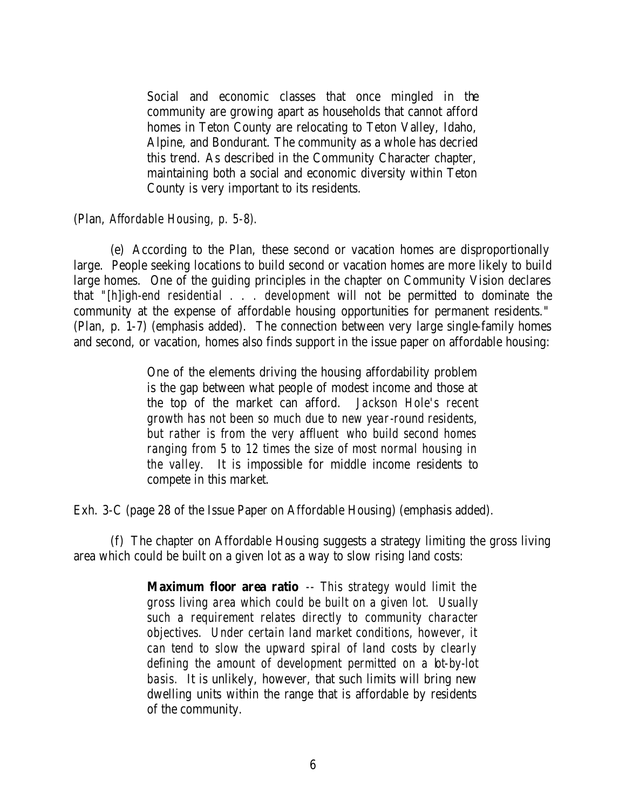Social and economic classes that once mingled in the community are growing apart as households that cannot afford homes in Teton County are relocating to Teton Valley, Idaho, Alpine, and Bondurant. The community as a whole has decried this trend. As described in the Community Character chapter, maintaining both a social and economic diversity within Teton County is very important to its residents.

#### (Plan, *Affordable Housing, p. 5-8).*

(e) According to the Plan, these second or vacation homes are disproportionally large. People seeking locations to build second or vacation homes are more likely to build large homes. One of the guiding principles in the chapter on Community Vision declares that *"[h]igh-end residential . . . development* will not be permitted to dominate the community at the expense of affordable housing opportunities for permanent residents." (Plan, p. 1-7) (emphasis added). The connection between very large single-family homes and second, or vacation, homes also finds support in the issue paper on affordable housing:

> One of the elements driving the housing affordability problem is the gap between what people of modest income and those at the top of the market can afford. *Jackson Hole's recent growth has not been so much due to new year-round residents, but rather is from the very affluent who build second homes ranging from 5 to 12 times the size of most normal housing in the valley.* It is impossible for middle income residents to compete in this market.

Exh. 3-C (page 28 of the Issue Paper on Affordable Housing) (emphasis added).

(f) The chapter on Affordable Housing suggests a strategy limiting the gross living area which could be built on a given lot as a way to slow rising land costs:

> **Maximum floor area ratio** *-- This strategy would limit the gross living area which could be built on a given lot. Usually such a requirement relates directly to community character objectives. Under certain land market conditions, however, it can tend to slow the upward spiral of land costs by clearly*  defining the amount of development permitted on a bt-by-lot *basis.* It is unlikely, however, that such limits will bring new dwelling units within the range that is affordable by residents of the community.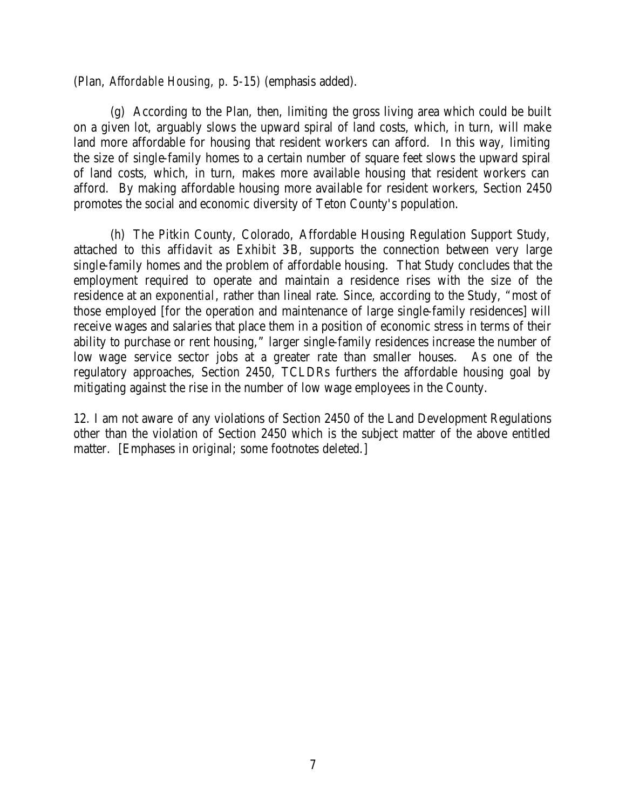(Plan, *Affordable Housing, p. 5-15)* (emphasis added).

(g) According to the Plan, then, limiting the gross living area which could be built on a given lot, arguably slows the upward spiral of land costs, which, in turn, will make land more affordable for housing that resident workers can afford. In this way, limiting the size of single-family homes to a certain number of square feet slows the upward spiral of land costs, which, in turn, makes more available housing that resident workers can afford. By making affordable housing more available for resident workers, Section 2450 promotes the social and economic diversity of Teton County's population.

(h) The Pitkin County, Colorado, Affordable Housing Regulation Support Study, attached to this affidavit as Exhibit 3B, supports the connection between very large single-family homes and the problem of affordable housing. That Study concludes that the employment required to operate and maintain a residence rises with the size of the residence at an *exponential*, rather than lineal rate. Since, according to the Study, "most of those employed [for the operation and maintenance of large single-family residences] will receive wages and salaries that place them in a position of economic stress in terms of their ability to purchase or rent housing," larger single-family residences increase the number of low wage service sector jobs at a greater rate than smaller houses. As one of the regulatory approaches, Section 2450, TCLDRs furthers the affordable housing goal by mitigating against the rise in the number of low wage employees in the County.

12. I am not aware of any violations of Section 2450 of the Land Development Regulations other than the violation of Section 2450 which is the subject matter of the above entitled matter. [Emphases in original; some footnotes deleted.]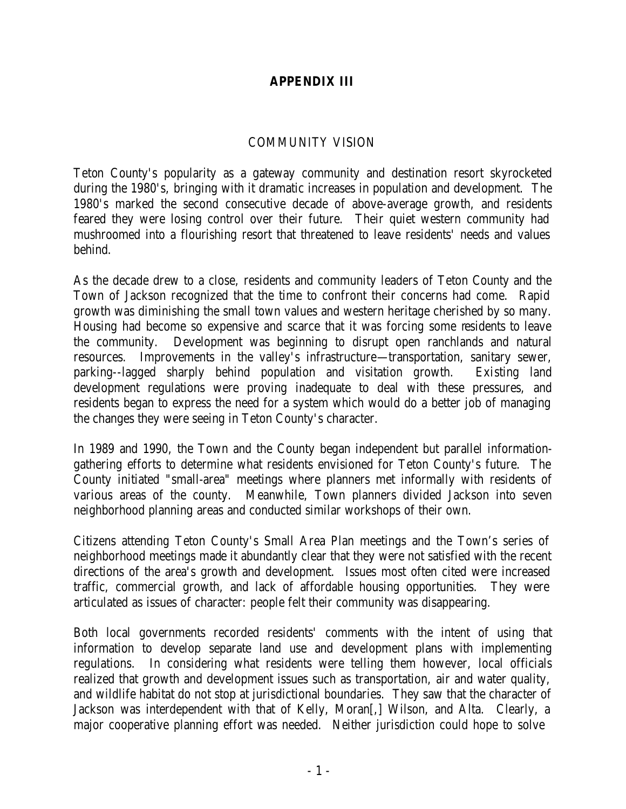# **APPENDIX III**

#### COMMUNITY VISION

Teton County's popularity as a gateway community and destination resort skyrocketed during the 1980's, bringing with it dramatic increases in population and development. The 1980's marked the second consecutive decade of above-average growth, and residents feared they were losing control over their future. Their quiet western community had mushroomed into a flourishing resort that threatened to leave residents' needs and values behind.

As the decade drew to a close, residents and community leaders of Teton County and the Town of Jackson recognized that the time to confront their concerns had come. Rapid growth was diminishing the small town values and western heritage cherished by so many. Housing had become so expensive and scarce that it was forcing some residents to leave the community. Development was beginning to disrupt open ranchlands and natural resources. Improvements in the valley's infrastructure—transportation, sanitary sewer, parking--lagged sharply behind population and visitation growth. Existing land development regulations were proving inadequate to deal with these pressures, and residents began to express the need for a system which would do a better job of managing the changes they were seeing in Teton County's character.

In 1989 and 1990, the Town and the County began independent but parallel informationgathering efforts to determine what residents envisioned for Teton County's future. The County initiated "small-area" meetings where planners met informally with residents of various areas of the county. Meanwhile, Town planners divided Jackson into seven neighborhood planning areas and conducted similar workshops of their own.

Citizens attending Teton County's Small Area Plan meetings and the Town's series of neighborhood meetings made it abundantly clear that they were not satisfied with the recent directions of the area's growth and development. Issues most often cited were increased traffic, commercial growth, and lack of affordable housing opportunities. They were articulated as issues of character: people felt their community was disappearing.

Both local governments recorded residents' comments with the intent of using that information to develop separate land use and development plans with implementing regulations. In considering what residents were telling them however, local officials realized that growth and development issues such as transportation, air and water quality, and wildlife habitat do not stop at jurisdictional boundaries. They saw that the character of Jackson was interdependent with that of Kelly, Moran[,] Wilson, and Alta. Clearly, a major cooperative planning effort was needed. Neither jurisdiction could hope to solve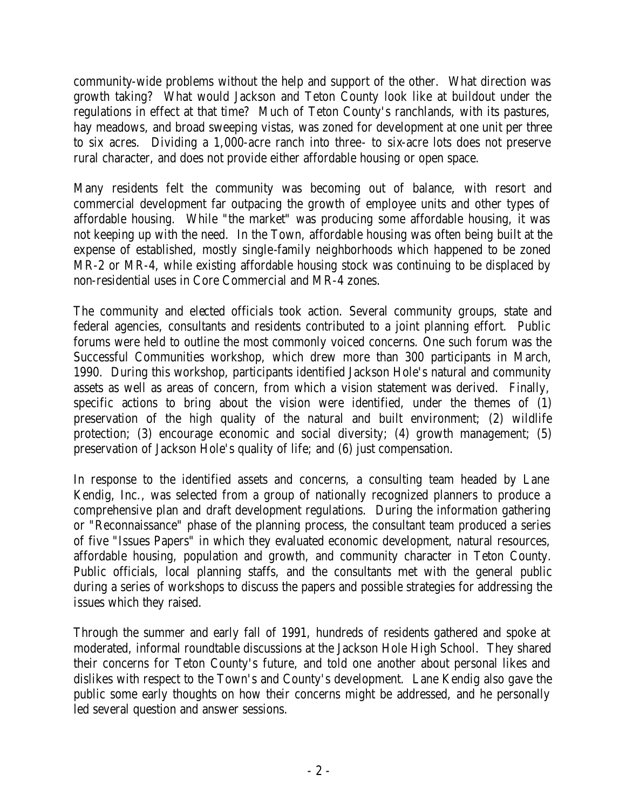community-wide problems without the help and support of the other. What direction was growth taking? What would Jackson and Teton County look like at buildout under the regulations in effect at that time? Much of Teton County's ranchlands, with its pastures, hay meadows, and broad sweeping vistas, was zoned for development at one unit per three to six acres. Dividing a 1,000-acre ranch into three- to six-acre lots does not preserve rural character, and does not provide either affordable housing or open space.

Many residents felt the community was becoming out of balance, with resort and commercial development far outpacing the growth of employee units and other types of affordable housing. While "the market" was producing some affordable housing, it was not keeping up with the need. In the Town, affordable housing was often being built at the expense of established, mostly single-family neighborhoods which happened to be zoned MR-2 or MR-4, while existing affordable housing stock was continuing to be displaced by non-residential uses in Core Commercial and MR-4 zones.

The community and elected officials took action. Several community groups, state and federal agencies, consultants and residents contributed to a joint planning effort. Public forums were held to outline the most commonly voiced concerns. One such forum was the Successful Communities workshop, which drew more than 300 participants in March, 1990. During this workshop, participants identified Jackson Hole's natural and community assets as well as areas of concern, from which a vision statement was derived. Finally, specific actions to bring about the vision were identified, under the themes of (1) preservation of the high quality of the natural and built environment; (2) wildlife protection; (3) encourage economic and social diversity; (4) growth management; (5) preservation of Jackson Hole's quality of life; and (6) just compensation.

In response to the identified assets and concerns, a consulting team headed by Lane Kendig, Inc., was selected from a group of nationally recognized planners to produce a comprehensive plan and draft development regulations. During the information gathering or "Reconnaissance" phase of the planning process, the consultant team produced a series of five "Issues Papers" in which they evaluated economic development, natural resources, affordable housing, population and growth, and community character in Teton County. Public officials, local planning staffs, and the consultants met with the general public during a series of workshops to discuss the papers and possible strategies for addressing the issues which they raised.

Through the summer and early fall of 1991, hundreds of residents gathered and spoke at moderated, informal roundtable discussions at the Jackson Hole High School. They shared their concerns for Teton County's future, and told one another about personal likes and dislikes with respect to the Town's and County's development. Lane Kendig also gave the public some early thoughts on how their concerns might be addressed, and he personally led several question and answer sessions.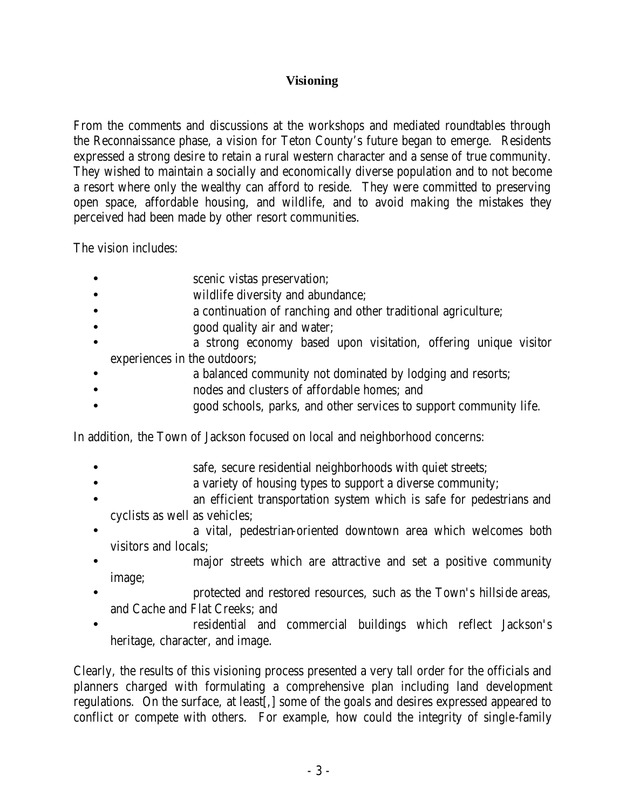# **Visioning**

From the comments and discussions at the workshops and mediated roundtables through the Reconnaissance phase, a vision for Teton County's future began to emerge. Residents expressed a strong desire to retain a rural western character and a sense of true community. They wished to maintain a socially and economically diverse population and to not become a resort where only the wealthy can afford to reside. They were committed to preserving open space, affordable housing, and wildlife, and to avoid making the mistakes they perceived had been made by other resort communities.

The vision includes:

- scenic vistas preservation;
- **• wildlife diversity and abundance;**
- a continuation of ranching and other traditional agriculture;
- good quality air and water;
- a strong economy based upon visitation, offering unique visitor experiences in the outdoors;
- a balanced community not dominated by lodging and resorts;
- nodes and clusters of affordable homes; and
- good schools, parks, and other services to support community life.

In addition, the Town of Jackson focused on local and neighborhood concerns:

- safe, secure residential neighborhoods with quiet streets;
- a variety of housing types to support a diverse community;
- an efficient transportation system which is safe for pedestrians and cyclists as well as vehicles;
- a vital, pedestrian-oriented downtown area which welcomes both visitors and locals;
- major streets which are attractive and set a positive community image;
- protected and restored resources, such as the Town's hillside areas, and Cache and Flat Creeks; and
- residential and commercial buildings which reflect Jackson's heritage, character, and image.

Clearly, the results of this visioning process presented a very tall order for the officials and planners charged with formulating a comprehensive plan including land development regulations. On the surface, at least[,] some of the goals and desires expressed appeared to conflict or compete with others. For example, how could the integrity of single-family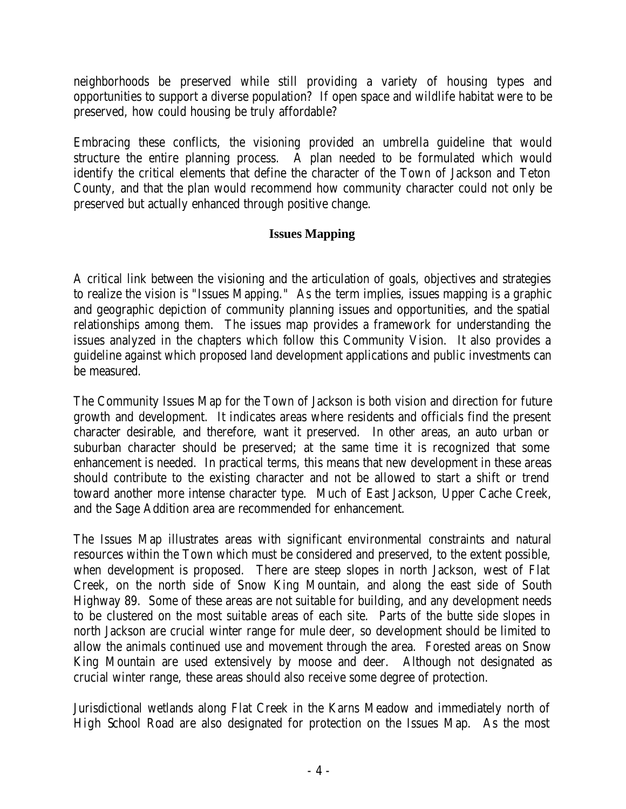neighborhoods be preserved while still providing a variety of housing types and opportunities to support a diverse population? If open space and wildlife habitat were to be preserved, how could housing be truly affordable?

Embracing these conflicts, the visioning provided an umbrella guideline that would structure the entire planning process. A plan needed to be formulated which would identify the critical elements that define the character of the Town of Jackson and Teton County, and that the plan would recommend how community character could not only be preserved but actually enhanced through positive change.

# **Issues Mapping**

A critical link between the visioning and the articulation of goals, objectives and strategies to realize the vision is "Issues Mapping." As the term implies, issues mapping is a graphic and geographic depiction of community planning issues and opportunities, and the spatial relationships among them. The issues map provides a framework for understanding the issues analyzed in the chapters which follow this Community Vision. It also provides a guideline against which proposed land development applications and public investments can be measured.

The Community Issues Map for the Town of Jackson is both vision and direction for future growth and development. It indicates areas where residents and officials find the present character desirable, and therefore, want it preserved. In other areas, an auto urban or suburban character should be preserved; at the same time it is recognized that some enhancement is needed. In practical terms, this means that new development in these areas should contribute to the existing character and not be allowed to start a shift or trend toward another more intense character type. Much of East Jackson, Upper Cache Creek, and the Sage Addition area are recommended for enhancement.

The Issues Map illustrates areas with significant environmental constraints and natural resources within the Town which must be considered and preserved, to the extent possible, when development is proposed. There are steep slopes in north Jackson, west of Flat Creek, on the north side of Snow King Mountain, and along the east side of South Highway 89. Some of these areas are not suitable for building, and any development needs to be clustered on the most suitable areas of each site. Parts of the butte side slopes in north Jackson are crucial winter range for mule deer, so development should be limited to allow the animals continued use and movement through the area. Forested areas on Snow King Mountain are used extensively by moose and deer. Although not designated as crucial winter range, these areas should also receive some degree of protection.

Jurisdictional wetlands along Flat Creek in the Karns Meadow and immediately north of High School Road are also designated for protection on the Issues Map. As the most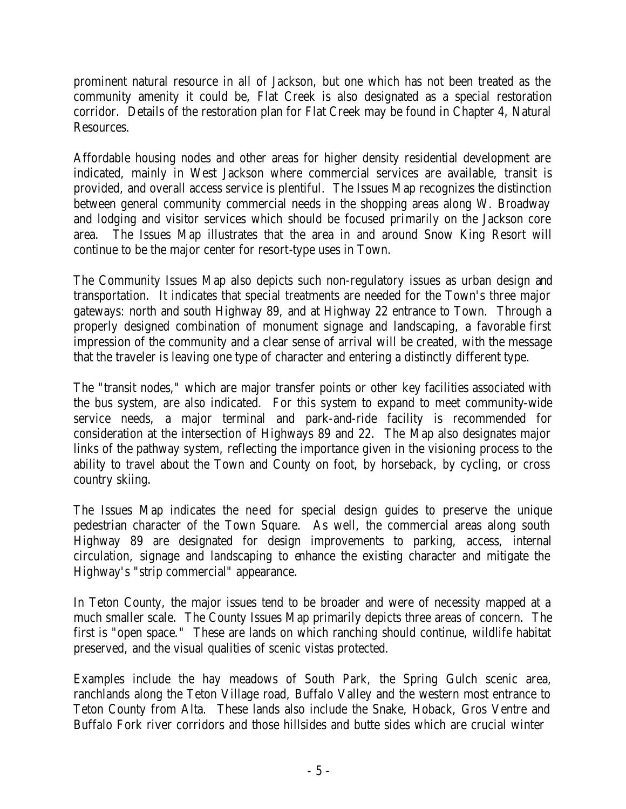prominent natural resource in all of Jackson, but one which has not been treated as the community amenity it could be, Flat Creek is also designated as a special restoration corridor. Details of the restoration plan for Flat Creek may be found in Chapter 4, Natural Resources.

Affordable housing nodes and other areas for higher density residential development are indicated, mainly in West Jackson where commercial services are available, transit is provided, and overall access service is plentiful. The Issues Map recognizes the distinction between general community commercial needs in the shopping areas along W. Broadway and lodging and visitor services which should be focused primarily on the Jackson core area. The Issues Map illustrates that the area in and around Snow King Resort will continue to be the major center for resort-type uses in Town.

The Community Issues Map also depicts such non-regulatory issues as urban design and transportation. It indicates that special treatments are needed for the Town's three major gateways: north and south Highway 89, and at Highway 22 entrance to Town. Through a properly designed combination of monument signage and landscaping, a favorable first impression of the community and a clear sense of arrival will be created, with the message that the traveler is leaving one type of character and entering a distinctly different type.

The "transit nodes," which are major transfer points or other key facilities associated with the bus system, are also indicated. For this system to expand to meet community-wide service needs, a major terminal and park-and-ride facility is recommended for consideration at the intersection of Highways 89 and 22. The Map also designates major links of the pathway system, reflecting the importance given in the visioning process to the ability to travel about the Town and County on foot, by horseback, by cycling, or cross country skiing.

The Issues Map indicates the ne ed for special design guides to preserve the unique pedestrian character of the Town Square. As well, the commercial areas along south Highway 89 are designated for design improvements to parking, access, internal circulation, signage and landscaping to enhance the existing character and mitigate the Highway's "strip commercial" appearance.

In Teton County, the major issues tend to be broader and were of necessity mapped at a much smaller scale. The County Issues Map primarily depicts three areas of concern. The first is "open space." These are lands on which ranching should continue, wildlife habitat preserved, and the visual qualities of scenic vistas protected.

Examples include the hay meadows of South Park, the Spring Gulch scenic area, ranchlands along the Teton Village road, Buffalo Valley and the western most entrance to Teton County from Alta. These lands also include the Snake, Hoback, Gros Ventre and Buffalo Fork river corridors and those hillsides and butte sides which are crucial winter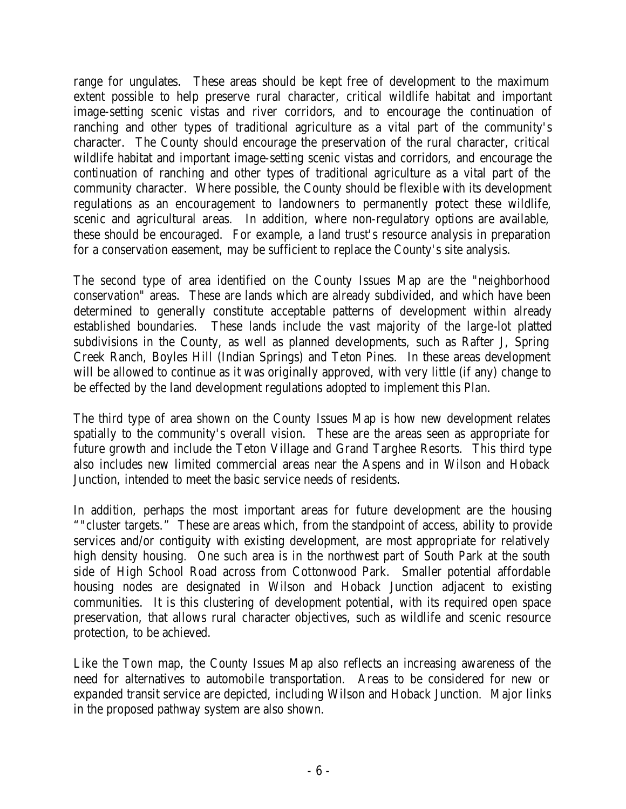range for ungulates. These areas should be kept free of development to the maximum extent possible to help preserve rural character, critical wildlife habitat and important image-setting scenic vistas and river corridors, and to encourage the continuation of ranching and other types of traditional agriculture as a vital part of the community's character. The County should encourage the preservation of the rural character, critical wildlife habitat and important image-setting scenic vistas and corridors, and encourage the continuation of ranching and other types of traditional agriculture as a vital part of the community character. Where possible, the County should be flexible with its development regulations as an encouragement to landowners to permanently protect these wildlife, scenic and agricultural areas. In addition, where non-regulatory options are available, these should be encouraged. For example, a land trust's resource analysis in preparation for a conservation easement, may be sufficient to replace the County's site analysis.

The second type of area identified on the County Issues Map are the "neighborhood conservation" areas. These are lands which are already subdivided, and which have been determined to generally constitute acceptable patterns of development within already established boundaries. These lands include the vast majority of the large-lot platted subdivisions in the County, as well as planned developments, such as Rafter J, Spring Creek Ranch, Boyles Hill (Indian Springs) and Teton Pines. In these areas development will be allowed to continue as it was originally approved, with very little (if any) change to be effected by the land development regulations adopted to implement this Plan.

The third type of area shown on the County Issues Map is how new development relates spatially to the community's overall vision. These are the areas seen as appropriate for future growth and include the Teton Village and Grand Targhee Resorts. This third type also includes new limited commercial areas near the Aspens and in Wilson and Hoback Junction, intended to meet the basic service needs of residents.

In addition, perhaps the most important areas for future development are the housing ""cluster targets." These are areas which, from the standpoint of access, ability to provide services and/or contiguity with existing development, are most appropriate for relatively high density housing. One such area is in the northwest part of South Park at the south side of High School Road across from Cottonwood Park. Smaller potential affordable housing nodes are designated in Wilson and Hoback Junction adjacent to existing communities. It is this clustering of development potential, with its required open space preservation, that allows rural character objectives, such as wildlife and scenic resource protection, to be achieved.

Like the Town map, the County Issues Map also reflects an increasing awareness of the need for alternatives to automobile transportation. Areas to be considered for new or expanded transit service are depicted, including Wilson and Hoback Junction. Major links in the proposed pathway system are also shown.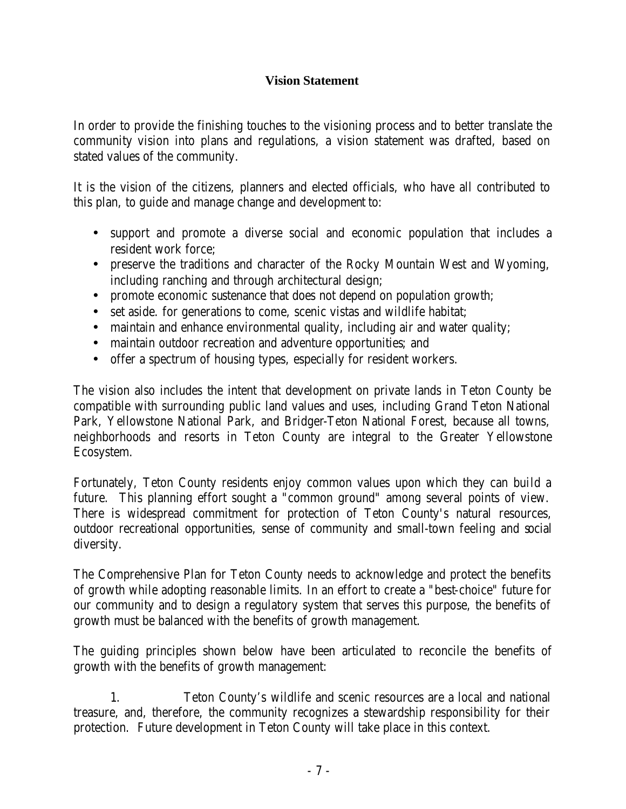# **Vision Statement**

In order to provide the finishing touches to the visioning process and to better translate the community vision into plans and regulations, a vision statement was drafted, based on stated values of the community.

It is the vision of the citizens, planners and elected officials, who have all contributed to this plan, to guide and manage change and development to:

- support and promote a diverse social and economic population that includes a resident work force;
- preserve the traditions and character of the Rocky Mountain West and Wyoming, including ranching and through architectural design;
- promote economic sustenance that does not depend on population growth;
- set aside. for generations to come, scenic vistas and wildlife habitat;
- maintain and enhance environmental quality, including air and water quality;
- maintain outdoor recreation and adventure opportunities; and
- offer a spectrum of housing types, especially for resident workers.

The vision also includes the intent that development on private lands in Teton County be compatible with surrounding public land values and uses, including Grand Teton National Park, Yellowstone National Park, and Bridger-Teton National Forest, because all towns, neighborhoods and resorts in Teton County are integral to the Greater Yellowstone Ecosystem.

Fortunately, Teton County residents enjoy common values upon which they can build a future. This planning effort sought a "common ground" among several points of view. There is widespread commitment for protection of Teton County's natural resources, outdoor recreational opportunities, sense of community and small-town feeling and social diversity.

The Comprehensive Plan for Teton County needs to acknowledge and protect the benefits of growth while adopting reasonable limits. In an effort to create a "best-choice" future for our community and to design a regulatory system that serves this purpose, the benefits of growth must be balanced with the benefits of growth management.

The guiding principles shown below have been articulated to reconcile the benefits of growth with the benefits of growth management:

1. Teton County's wildlife and scenic resources are a local and national treasure, and, therefore, the community recognizes a stewardship responsibility for their protection. Future development in Teton County will take place in this context.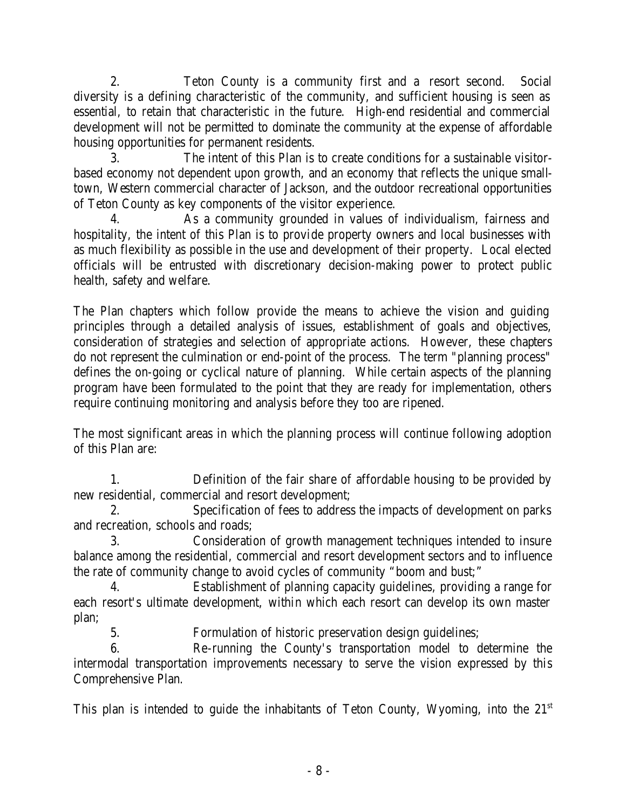2. Teton County is a community first and a resort second. Social diversity is a defining characteristic of the community, and sufficient housing is seen as essential, to retain that characteristic in the future. High-end residential and commercial development will not be permitted to dominate the community at the expense of affordable housing opportunities for permanent residents.

3. The intent of this Plan is to create conditions for a sustainable visitorbased economy not dependent upon growth, and an economy that reflects the unique smalltown, Western commercial character of Jackson, and the outdoor recreational opportunities of Teton County as key components of the visitor experience.

4. As a community grounded in values of individualism, fairness and hospitality, the intent of this Plan is to provide property owners and local businesses with as much flexibility as possible in the use and development of their property. Local elected officials will be entrusted with discretionary decision-making power to protect public health, safety and welfare.

The Plan chapters which follow provide the means to achieve the vision and guiding principles through a detailed analysis of issues, establishment of goals and objectives, consideration of strategies and selection of appropriate actions. However, these chapters do not represent the culmination or end-point of the process. The term "planning process" defines the on-going or cyclical nature of planning. While certain aspects of the planning program have been formulated to the point that they are ready for implementation, others require continuing monitoring and analysis before they too are ripened.

The most significant areas in which the planning process will continue following adoption of this Plan are:

1. Definition of the fair share of affordable housing to be provided by new residential, commercial and resort development;

2. Specification of fees to address the impacts of development on parks and recreation, schools and roads;

3. Consideration of growth management techniques intended to insure balance among the residential, commercial and resort development sectors and to influence the rate of community change to avoid cycles of community "boom and bust;"

4. Establishment of planning capacity guidelines, providing a range for each resort's ultimate development, within which each resort can develop its own master plan;

5. Formulation of historic preservation design guidelines;

6. Re-running the County's transportation model to determine the intermodal transportation improvements necessary to serve the vision expressed by this Comprehensive Plan.

This plan is intended to guide the inhabitants of Teton County, Wyoming, into the  $21<sup>st</sup>$